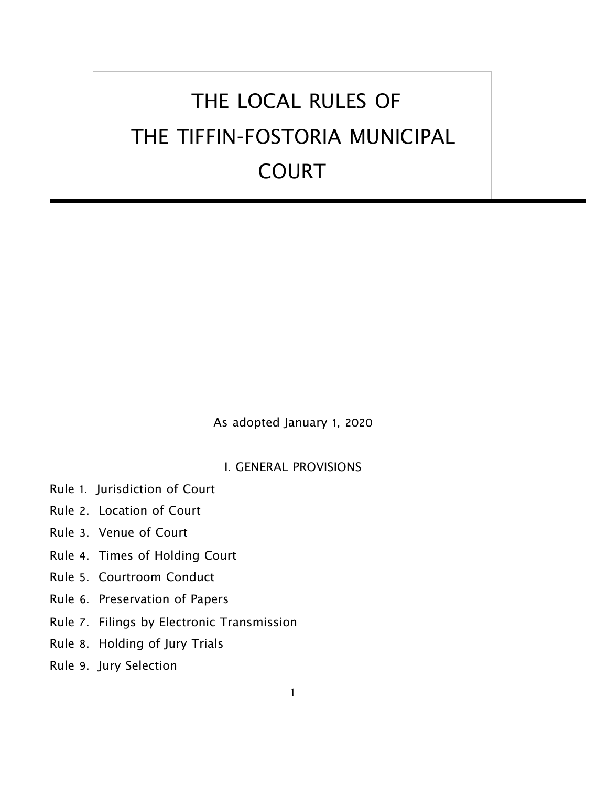# THE LOCAL RULES OF THE TIFFIN-FOSTORIA MUNICIPAL COURT

As adopted January 1, 2020

# I. GENERAL PROVISIONS

- Rule 1. Jurisdiction of Court
- Rule 2. Location of Court
- Rule 3. Venue of Court
- Rule 4. Times of Holding Court
- Rule 5. Courtroom Conduct
- Rule 6. Preservation of Papers
- Rule 7. Filings by Electronic Transmission
- Rule 8. Holding of Jury Trials
- Rule 9. Jury Selection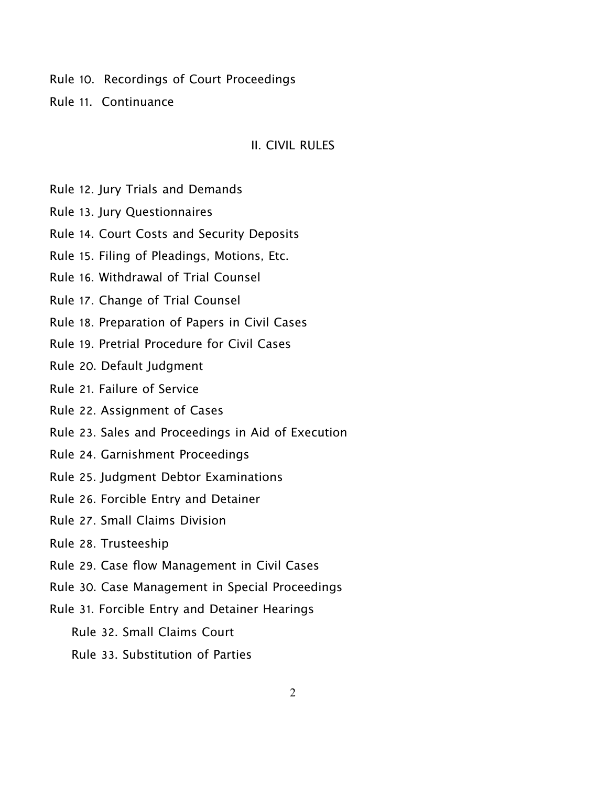Rule 10. Recordings of Court Proceedings

Rule 11. Continuance

#### II. CIVIL RULES

Rule 12. Jury Trials and Demands

Rule 13. Jury Questionnaires

Rule 14. Court Costs and Security Deposits

Rule 15. Filing of Pleadings, Motions, Etc.

Rule 16. Withdrawal of Trial Counsel

Rule 17. Change of Trial Counsel

Rule 18. Preparation of Papers in Civil Cases

Rule 19. Pretrial Procedure for Civil Cases

Rule 20. Default Judgment

Rule 21. Failure of Service

Rule 22. Assignment of Cases

Rule 23. Sales and Proceedings in Aid of Execution

- Rule 24. Garnishment Proceedings
- Rule 25. Judgment Debtor Examinations

Rule 26. Forcible Entry and Detainer

Rule 27. Small Claims Division

Rule 28. Trusteeship

Rule 29. Case flow Management in Civil Cases

Rule 30. Case Management in Special Proceedings

Rule 31. Forcible Entry and Detainer Hearings

Rule 32. Small Claims Court

Rule 33. Substitution of Parties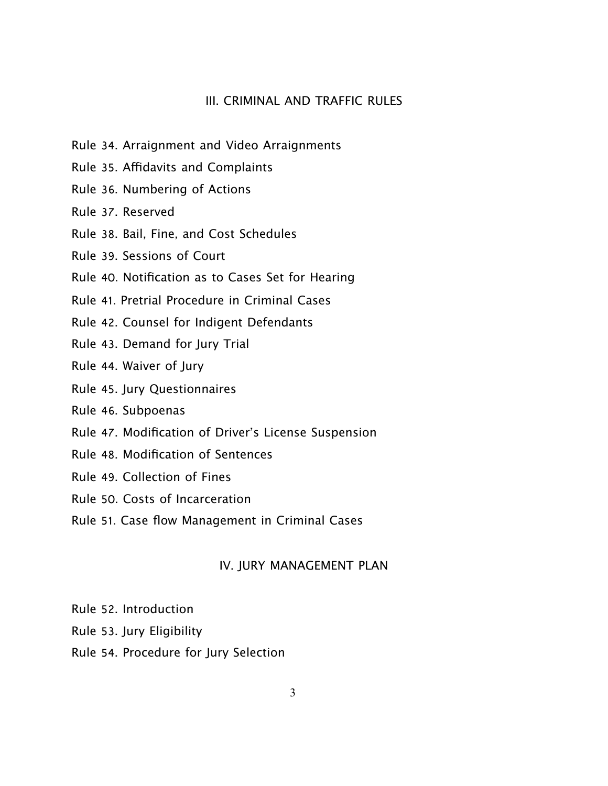## III. CRIMINAL AND TRAFFIC RULES

- Rule 34. Arraignment and Video Arraignments
- Rule 35. Afdavits and Complaints
- Rule 36. Numbering of Actions
- Rule 37. Reserved
- Rule 38. Bail, Fine, and Cost Schedules
- Rule 39. Sessions of Court
- Rule 40. Notification as to Cases Set for Hearing
- Rule 41. Pretrial Procedure in Criminal Cases
- Rule 42. Counsel for Indigent Defendants
- Rule 43. Demand for Jury Trial
- Rule 44. Waiver of Jury
- Rule 45. Jury Questionnaires
- Rule 46. Subpoenas
- Rule 47. Modification of Driver's License Suspension
- Rule 48. Modification of Sentences
- Rule 49. Collection of Fines
- Rule 50. Costs of Incarceration
- Rule 51. Case flow Management in Criminal Cases

## IV. JURY MANAGEMENT PLAN

- Rule 52. Introduction
- Rule 53. Jury Eligibility
- Rule 54. Procedure for Jury Selection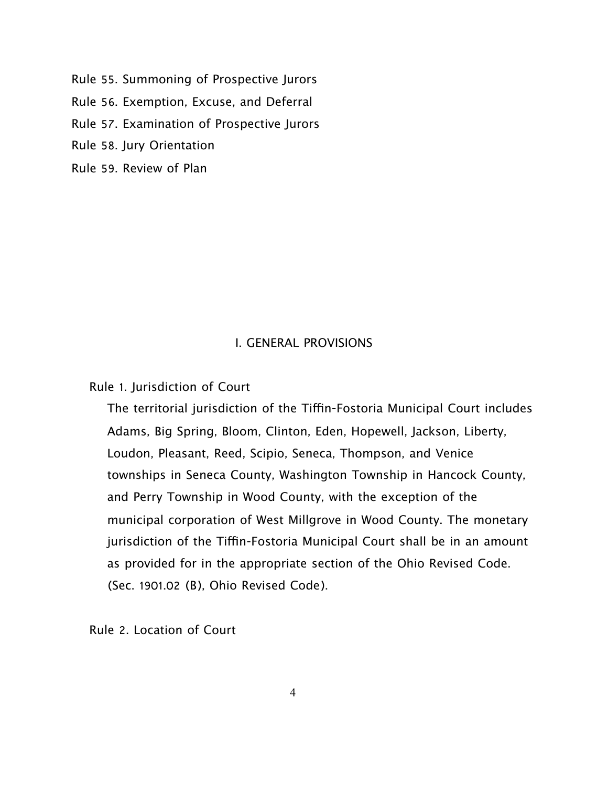Rule 55. Summoning of Prospective Jurors

Rule 56. Exemption, Excuse, and Deferral

Rule 57. Examination of Prospective Jurors

Rule 58. Jury Orientation

Rule 59. Review of Plan

# I. GENERAL PROVISIONS

Rule 1. Jurisdiction of Court

The territorial jurisdiction of the Tiffin-Fostoria Municipal Court includes Adams, Big Spring, Bloom, Clinton, Eden, Hopewell, Jackson, Liberty, Loudon, Pleasant, Reed, Scipio, Seneca, Thompson, and Venice townships in Seneca County, Washington Township in Hancock County, and Perry Township in Wood County, with the exception of the municipal corporation of West Millgrove in Wood County. The monetary jurisdiction of the Tiffin-Fostoria Municipal Court shall be in an amount as provided for in the appropriate section of the Ohio Revised Code. (Sec. 1901.02 (B), Ohio Revised Code).

Rule 2. Location of Court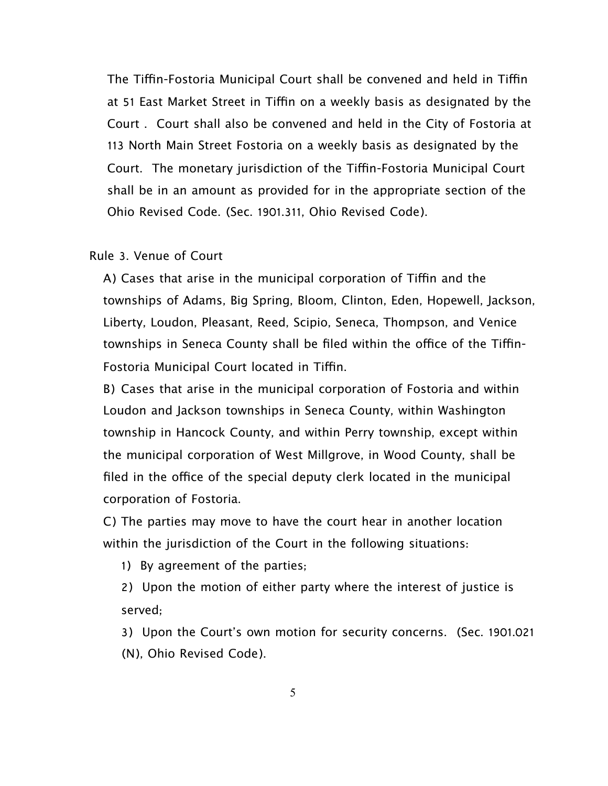The Tiffin-Fostoria Municipal Court shall be convened and held in Tiffin at 51 East Market Street in Tiffin on a weekly basis as designated by the Court . Court shall also be convened and held in the City of Fostoria at 113 North Main Street Fostoria on a weekly basis as designated by the Court. The monetary jurisdiction of the Tiffin-Fostoria Municipal Court shall be in an amount as provided for in the appropriate section of the Ohio Revised Code. (Sec. 1901.311, Ohio Revised Code).

#### Rule 3. Venue of Court

A) Cases that arise in the municipal corporation of Tiffin and the townships of Adams, Big Spring, Bloom, Clinton, Eden, Hopewell, Jackson, Liberty, Loudon, Pleasant, Reed, Scipio, Seneca, Thompson, and Venice townships in Seneca County shall be filed within the office of the Tiffin-Fostoria Municipal Court located in Tiffin.

B) Cases that arise in the municipal corporation of Fostoria and within Loudon and Jackson townships in Seneca County, within Washington township in Hancock County, and within Perry township, except within the municipal corporation of West Millgrove, in Wood County, shall be filed in the office of the special deputy clerk located in the municipal corporation of Fostoria.

C) The parties may move to have the court hear in another location within the jurisdiction of the Court in the following situations:

1) By agreement of the parties;

2) Upon the motion of either party where the interest of justice is served;

3) Upon the Court's own motion for security concerns. (Sec. 1901.021 (N), Ohio Revised Code).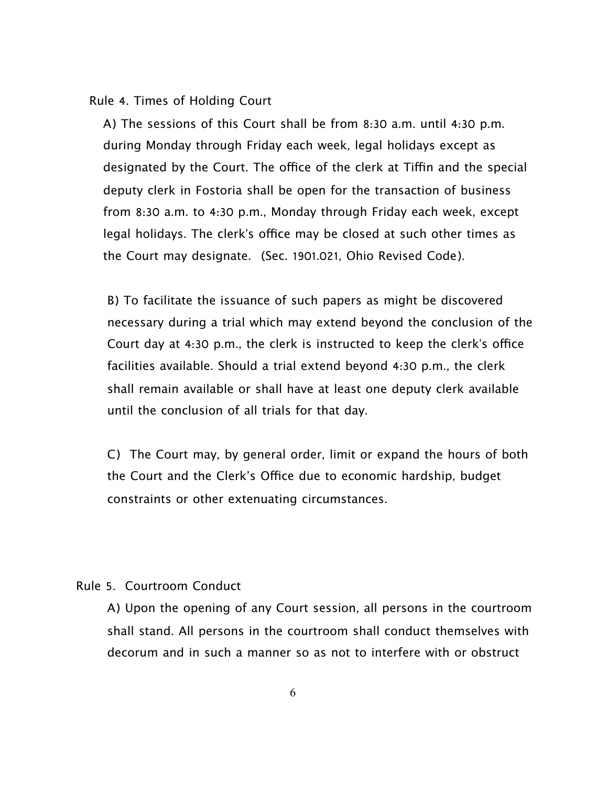#### Rule 4. Times of Holding Court

A) The sessions of this Court shall be from 8:30 a.m. until 4:30 p.m. during Monday through Friday each week, legal holidays except as designated by the Court. The office of the clerk at Tiffin and the special deputy clerk in Fostoria shall be open for the transaction of business from 8:30 a.m. to 4:30 p.m., Monday through Friday each week, except legal holidays. The clerk's office may be closed at such other times as the Court may designate. (Sec. 1901.021, Ohio Revised Code).

B) To facilitate the issuance of such papers as might be discovered necessary during a trial which may extend beyond the conclusion of the Court day at 4:30 p.m., the clerk is instructed to keep the clerk's office facilities available. Should a trial extend beyond 4:30 p.m., the clerk shall remain available or shall have at least one deputy clerk available until the conclusion of all trials for that day.

C) The Court may, by general order, limit or expand the hours of both the Court and the Clerk's Office due to economic hardship, budget constraints or other extenuating circumstances.

# Rule 5. Courtroom Conduct

A) Upon the opening of any Court session, all persons in the courtroom shall stand. All persons in the courtroom shall conduct themselves with decorum and in such a manner so as not to interfere with or obstruct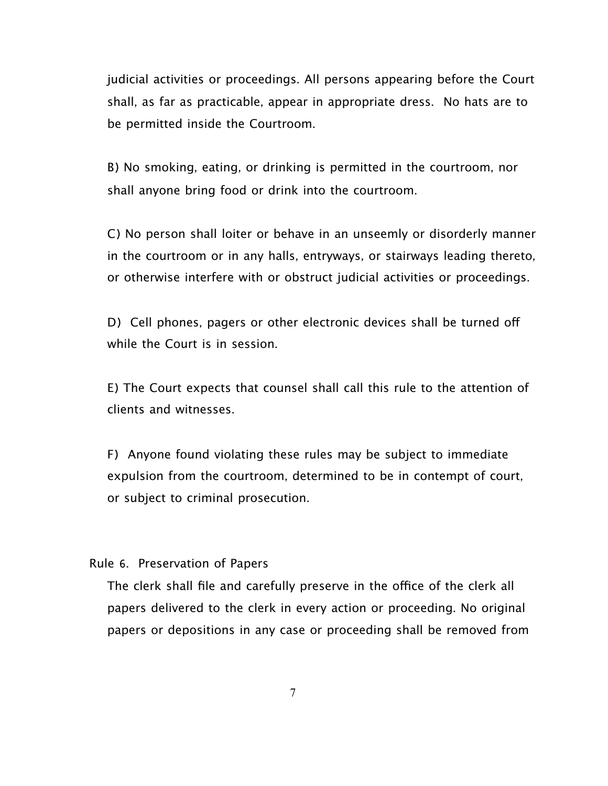judicial activities or proceedings. All persons appearing before the Court shall, as far as practicable, appear in appropriate dress. No hats are to be permitted inside the Courtroom.

B) No smoking, eating, or drinking is permitted in the courtroom, nor shall anyone bring food or drink into the courtroom.

C) No person shall loiter or behave in an unseemly or disorderly manner in the courtroom or in any halls, entryways, or stairways leading thereto, or otherwise interfere with or obstruct judicial activities or proceedings.

D) Cell phones, pagers or other electronic devices shall be turned off while the Court is in session.

E) The Court expects that counsel shall call this rule to the attention of clients and witnesses.

F) Anyone found violating these rules may be subject to immediate expulsion from the courtroom, determined to be in contempt of court, or subject to criminal prosecution.

Rule 6. Preservation of Papers

The clerk shall file and carefully preserve in the office of the clerk all papers delivered to the clerk in every action or proceeding. No original papers or depositions in any case or proceeding shall be removed from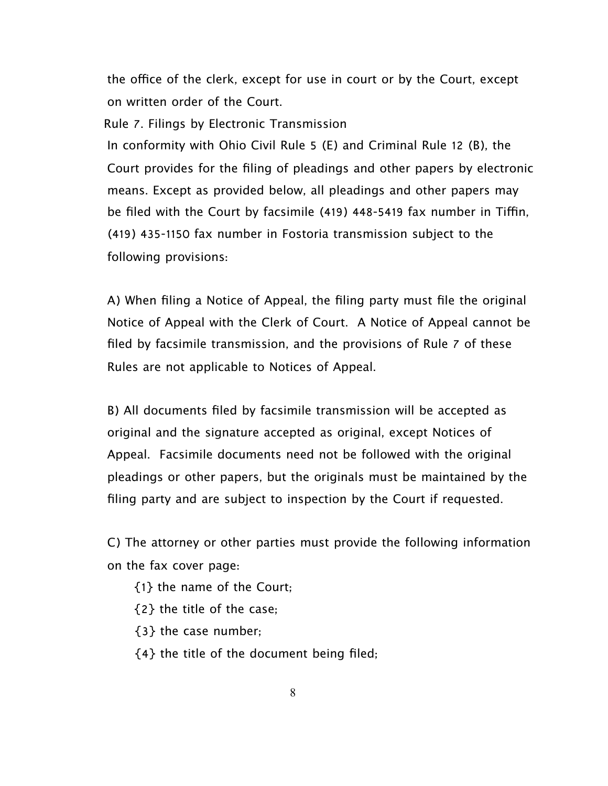the office of the clerk, except for use in court or by the Court, except on written order of the Court.

 Rule 7. Filings by Electronic Transmission In conformity with Ohio Civil Rule 5 (E) and Criminal Rule 12 (B), the Court provides for the filing of pleadings and other papers by electronic means. Except as provided below, all pleadings and other papers may be filed with the Court by facsimile (419) 448-5419 fax number in Tiffin, (419) 435-1150 fax number in Fostoria transmission subject to the following provisions:

A) When filing a Notice of Appeal, the filing party must file the original Notice of Appeal with the Clerk of Court. A Notice of Appeal cannot be filed by facsimile transmission, and the provisions of Rule 7 of these Rules are not applicable to Notices of Appeal.

B) All documents filed by facsimile transmission will be accepted as original and the signature accepted as original, except Notices of Appeal. Facsimile documents need not be followed with the original pleadings or other papers, but the originals must be maintained by the filing party and are subject to inspection by the Court if requested.

C) The attorney or other parties must provide the following information on the fax cover page:

- {1} the name of the Court;
- {2} the title of the case;
- {3} the case number;
- {4} the title of the document being filed;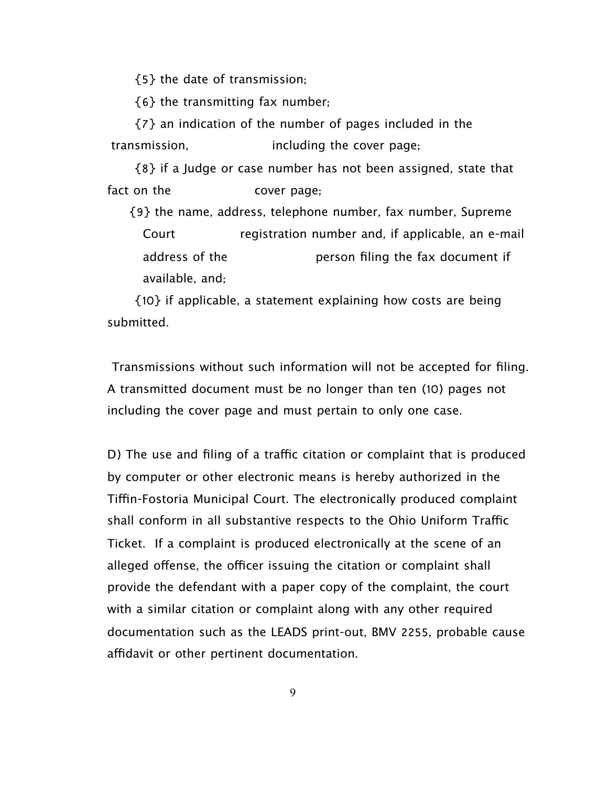{5} the date of transmission;

{6} the transmitting fax number;

 {7} an indication of the number of pages included in the transmission, including the cover page;

 {8} if a Judge or case number has not been assigned, state that fact on the cover page;

 {9} the name, address, telephone number, fax number, Supreme Court registration number and, if applicable, an e-mail address of the person filing the fax document if available, and;

 {10} if applicable, a statement explaining how costs are being submitted.

Transmissions without such information will not be accepted for filing. A transmitted document must be no longer than ten (10) pages not including the cover page and must pertain to only one case.

D) The use and filing of a traffic citation or complaint that is produced by computer or other electronic means is hereby authorized in the Tifn-Fostoria Municipal Court. The electronically produced complaint shall conform in all substantive respects to the Ohio Uniform Traffic Ticket. If a complaint is produced electronically at the scene of an alleged offense, the officer issuing the citation or complaint shall provide the defendant with a paper copy of the complaint, the court with a similar citation or complaint along with any other required documentation such as the LEADS print-out, BMV 2255, probable cause affidavit or other pertinent documentation.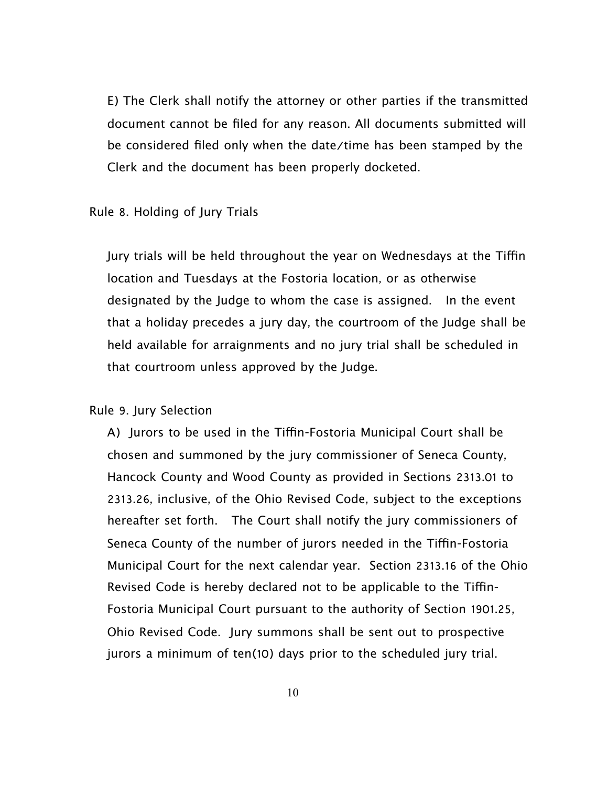E) The Clerk shall notify the attorney or other parties if the transmitted document cannot be filed for any reason. All documents submitted will be considered filed only when the date/time has been stamped by the Clerk and the document has been properly docketed.

#### Rule 8. Holding of Jury Trials

Jury trials will be held throughout the year on Wednesdays at the Tiffin location and Tuesdays at the Fostoria location, or as otherwise designated by the Judge to whom the case is assigned. In the event that a holiday precedes a jury day, the courtroom of the Judge shall be held available for arraignments and no jury trial shall be scheduled in that courtroom unless approved by the Judge.

## Rule 9. Jury Selection

A) Jurors to be used in the Tiffin-Fostoria Municipal Court shall be chosen and summoned by the jury commissioner of Seneca County, Hancock County and Wood County as provided in Sections 2313.01 to 2313.26, inclusive, of the Ohio Revised Code, subject to the exceptions hereafter set forth. The Court shall notify the jury commissioners of Seneca County of the number of jurors needed in the Tiffin-Fostoria Municipal Court for the next calendar year. Section 2313.16 of the Ohio Revised Code is hereby declared not to be applicable to the Tifn-Fostoria Municipal Court pursuant to the authority of Section 1901.25, Ohio Revised Code. Jury summons shall be sent out to prospective jurors a minimum of ten(10) days prior to the scheduled jury trial.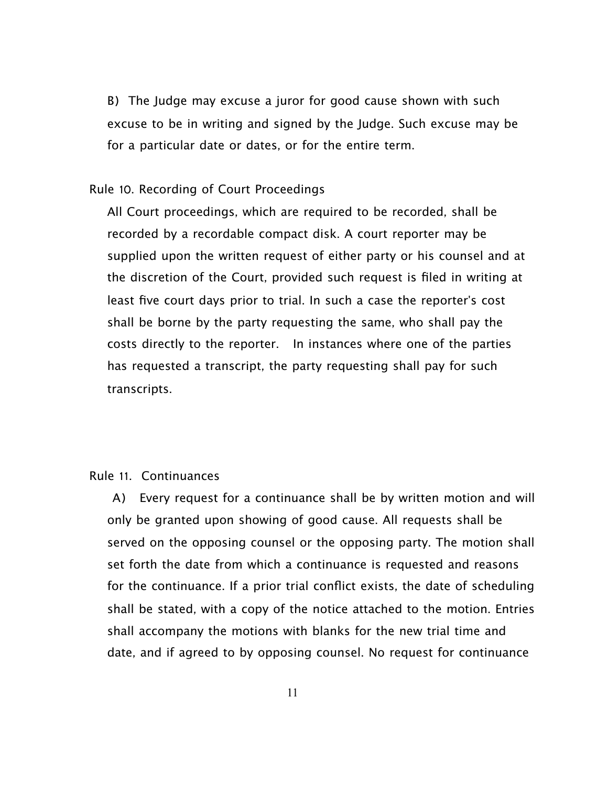B) The Judge may excuse a juror for good cause shown with such excuse to be in writing and signed by the Judge. Such excuse may be for a particular date or dates, or for the entire term.

#### Rule 10. Recording of Court Proceedings

All Court proceedings, which are required to be recorded, shall be recorded by a recordable compact disk. A court reporter may be supplied upon the written request of either party or his counsel and at the discretion of the Court, provided such request is filed in writing at least five court days prior to trial. In such a case the reporter's cost shall be borne by the party requesting the same, who shall pay the costs directly to the reporter. In instances where one of the parties has requested a transcript, the party requesting shall pay for such transcripts.

# Rule 11. Continuances

 A) Every request for a continuance shall be by written motion and will only be granted upon showing of good cause. All requests shall be served on the opposing counsel or the opposing party. The motion shall set forth the date from which a continuance is requested and reasons for the continuance. If a prior trial conflict exists, the date of scheduling shall be stated, with a copy of the notice attached to the motion. Entries shall accompany the motions with blanks for the new trial time and date, and if agreed to by opposing counsel. No request for continuance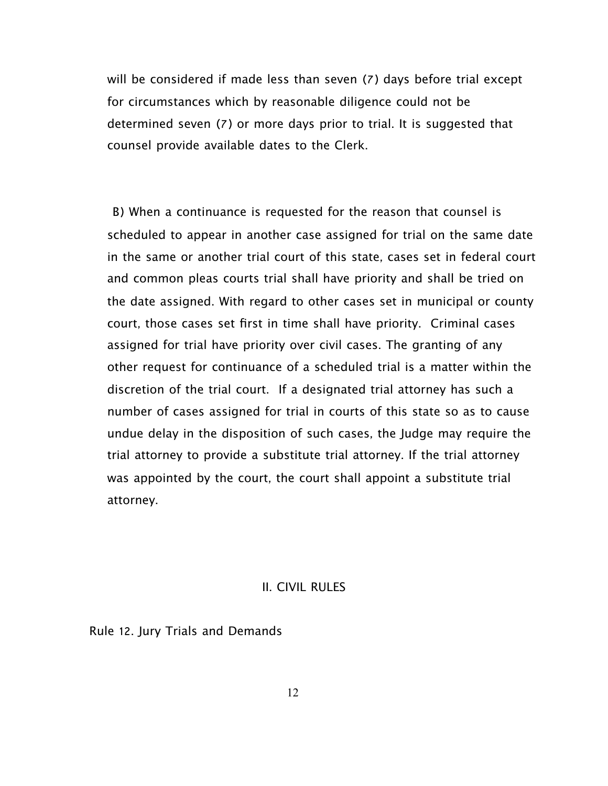will be considered if made less than seven (7) days before trial except for circumstances which by reasonable diligence could not be determined seven (7) or more days prior to trial. It is suggested that counsel provide available dates to the Clerk.

 B) When a continuance is requested for the reason that counsel is scheduled to appear in another case assigned for trial on the same date in the same or another trial court of this state, cases set in federal court and common pleas courts trial shall have priority and shall be tried on the date assigned. With regard to other cases set in municipal or county court, those cases set first in time shall have priority. Criminal cases assigned for trial have priority over civil cases. The granting of any other request for continuance of a scheduled trial is a matter within the discretion of the trial court. If a designated trial attorney has such a number of cases assigned for trial in courts of this state so as to cause undue delay in the disposition of such cases, the Judge may require the trial attorney to provide a substitute trial attorney. If the trial attorney was appointed by the court, the court shall appoint a substitute trial attorney.

# II. CIVIL RULES

Rule 12. Jury Trials and Demands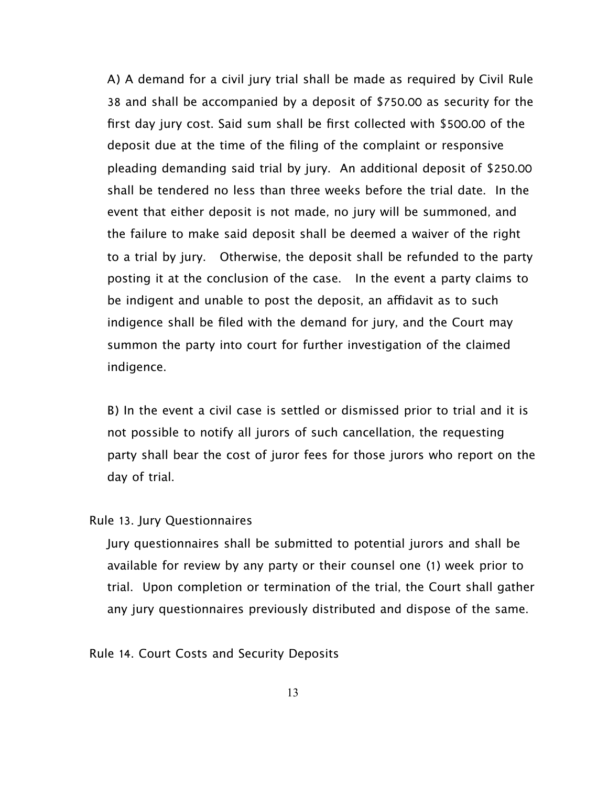A) A demand for a civil jury trial shall be made as required by Civil Rule 38 and shall be accompanied by a deposit of \$750.00 as security for the first day jury cost. Said sum shall be first collected with \$500.00 of the deposit due at the time of the filing of the complaint or responsive pleading demanding said trial by jury. An additional deposit of \$250.00 shall be tendered no less than three weeks before the trial date. In the event that either deposit is not made, no jury will be summoned, and the failure to make said deposit shall be deemed a waiver of the right to a trial by jury. Otherwise, the deposit shall be refunded to the party posting it at the conclusion of the case. In the event a party claims to be indigent and unable to post the deposit, an affidavit as to such indigence shall be filed with the demand for jury, and the Court may summon the party into court for further investigation of the claimed indigence.

B) In the event a civil case is settled or dismissed prior to trial and it is not possible to notify all jurors of such cancellation, the requesting party shall bear the cost of juror fees for those jurors who report on the day of trial.

#### Rule 13. Jury Questionnaires

Jury questionnaires shall be submitted to potential jurors and shall be available for review by any party or their counsel one (1) week prior to trial. Upon completion or termination of the trial, the Court shall gather any jury questionnaires previously distributed and dispose of the same.

## Rule 14. Court Costs and Security Deposits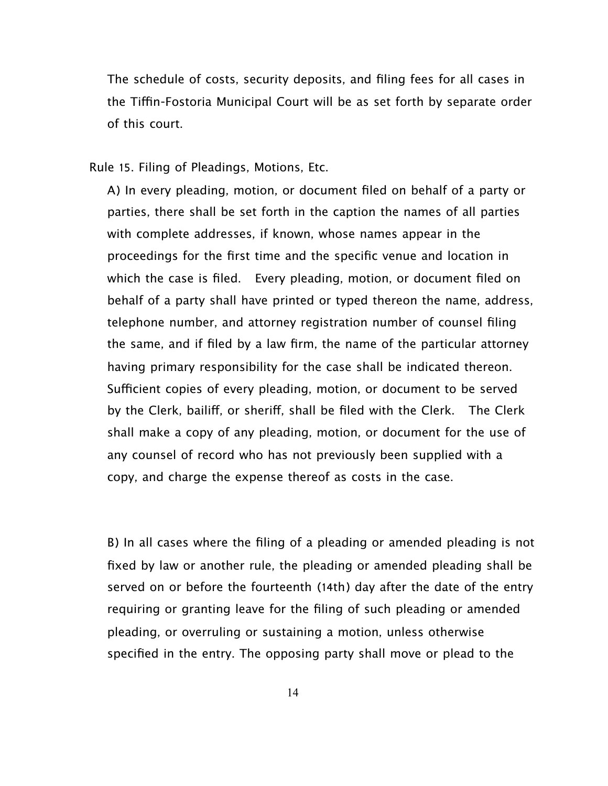The schedule of costs, security deposits, and filing fees for all cases in the Tifn-Fostoria Municipal Court will be as set forth by separate order of this court.

Rule 15. Filing of Pleadings, Motions, Etc.

A) In every pleading, motion, or document filed on behalf of a party or parties, there shall be set forth in the caption the names of all parties with complete addresses, if known, whose names appear in the proceedings for the first time and the specific venue and location in which the case is filed. Every pleading, motion, or document filed on behalf of a party shall have printed or typed thereon the name, address, telephone number, and attorney registration number of counsel filing the same, and if filed by a law firm, the name of the particular attorney having primary responsibility for the case shall be indicated thereon. Sufficient copies of every pleading, motion, or document to be served by the Clerk, bailif, or sherif, shall be filed with the Clerk. The Clerk shall make a copy of any pleading, motion, or document for the use of any counsel of record who has not previously been supplied with a copy, and charge the expense thereof as costs in the case.

B) In all cases where the filing of a pleading or amended pleading is not fixed by law or another rule, the pleading or amended pleading shall be served on or before the fourteenth (14th) day after the date of the entry requiring or granting leave for the filing of such pleading or amended pleading, or overruling or sustaining a motion, unless otherwise specified in the entry. The opposing party shall move or plead to the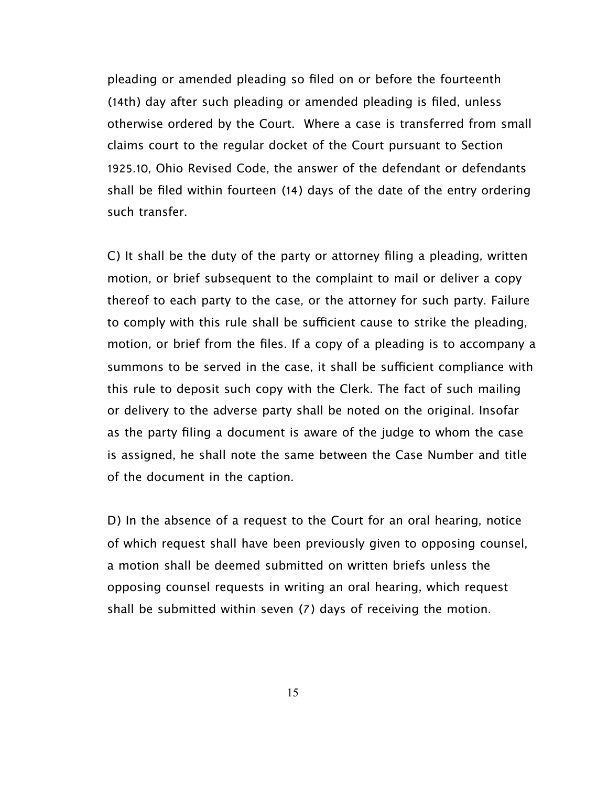pleading or amended pleading so filed on or before the fourteenth (14th) day after such pleading or amended pleading is filed, unless otherwise ordered by the Court. Where a case is transferred from small claims court to the regular docket of the Court pursuant to Section 1925.10, Ohio Revised Code, the answer of the defendant or defendants shall be filed within fourteen (14) days of the date of the entry ordering such transfer.

C) It shall be the duty of the party or attorney filing a pleading, written motion, or brief subsequent to the complaint to mail or deliver a copy thereof to each party to the case, or the attorney for such party. Failure to comply with this rule shall be sufficient cause to strike the pleading, motion, or brief from the files. If a copy of a pleading is to accompany a summons to be served in the case, it shall be sufficient compliance with this rule to deposit such copy with the Clerk. The fact of such mailing or delivery to the adverse party shall be noted on the original. Insofar as the party filing a document is aware of the judge to whom the case is assigned, he shall note the same between the Case Number and title of the document in the caption.

D) In the absence of a request to the Court for an oral hearing, notice of which request shall have been previously given to opposing counsel, a motion shall be deemed submitted on written briefs unless the opposing counsel requests in writing an oral hearing, which request shall be submitted within seven (7) days of receiving the motion.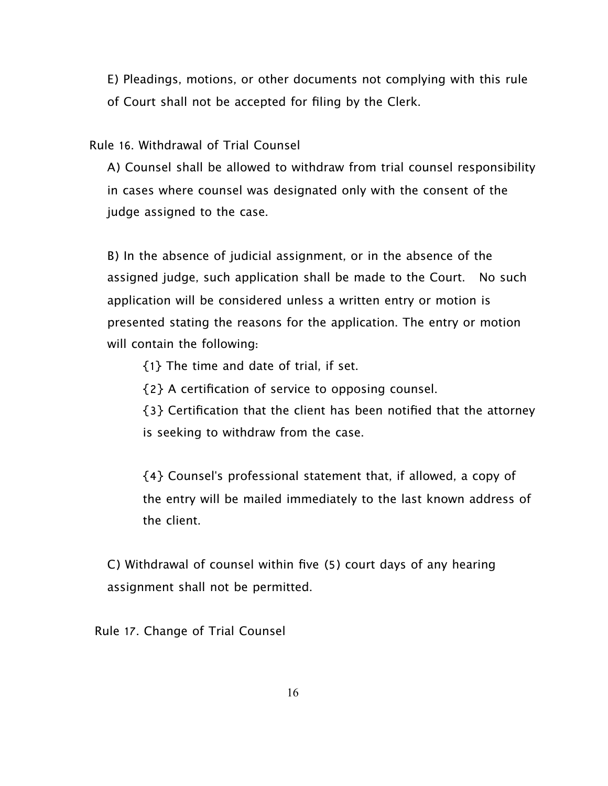E) Pleadings, motions, or other documents not complying with this rule of Court shall not be accepted for filing by the Clerk.

Rule 16. Withdrawal of Trial Counsel

A) Counsel shall be allowed to withdraw from trial counsel responsibility in cases where counsel was designated only with the consent of the judge assigned to the case.

B) In the absence of judicial assignment, or in the absence of the assigned judge, such application shall be made to the Court. No such application will be considered unless a written entry or motion is presented stating the reasons for the application. The entry or motion will contain the following:

{1} The time and date of trial, if set.

{2} A certification of service to opposing counsel.

{3} Certification that the client has been notified that the attorney is seeking to withdraw from the case.

{4} Counsel's professional statement that, if allowed, a copy of the entry will be mailed immediately to the last known address of the client.

C) Withdrawal of counsel within five (5) court days of any hearing assignment shall not be permitted.

Rule 17. Change of Trial Counsel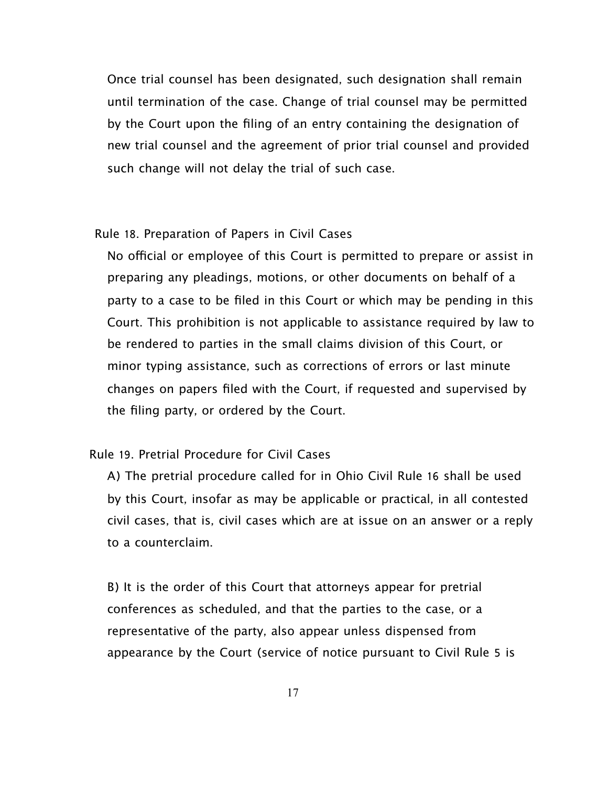Once trial counsel has been designated, such designation shall remain until termination of the case. Change of trial counsel may be permitted by the Court upon the filing of an entry containing the designation of new trial counsel and the agreement of prior trial counsel and provided such change will not delay the trial of such case.

#### Rule 18. Preparation of Papers in Civil Cases

No official or employee of this Court is permitted to prepare or assist in preparing any pleadings, motions, or other documents on behalf of a party to a case to be filed in this Court or which may be pending in this Court. This prohibition is not applicable to assistance required by law to be rendered to parties in the small claims division of this Court, or minor typing assistance, such as corrections of errors or last minute changes on papers filed with the Court, if requested and supervised by the filing party, or ordered by the Court.

# Rule 19. Pretrial Procedure for Civil Cases

A) The pretrial procedure called for in Ohio Civil Rule 16 shall be used by this Court, insofar as may be applicable or practical, in all contested civil cases, that is, civil cases which are at issue on an answer or a reply to a counterclaim.

B) It is the order of this Court that attorneys appear for pretrial conferences as scheduled, and that the parties to the case, or a representative of the party, also appear unless dispensed from appearance by the Court (service of notice pursuant to Civil Rule 5 is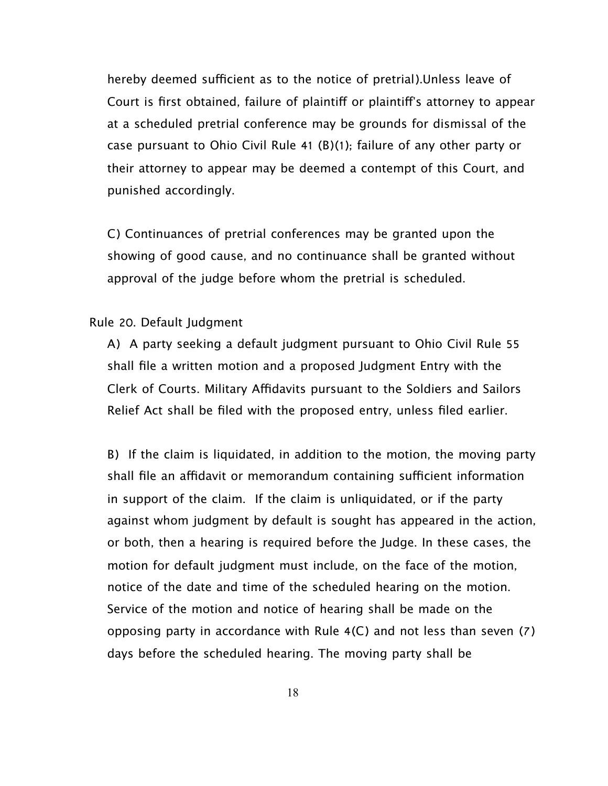hereby deemed sufficient as to the notice of pretrial). Unless leave of Court is first obtained, failure of plaintif or plaintif's attorney to appear at a scheduled pretrial conference may be grounds for dismissal of the case pursuant to Ohio Civil Rule 41 (B)(1); failure of any other party or their attorney to appear may be deemed a contempt of this Court, and punished accordingly.

C) Continuances of pretrial conferences may be granted upon the showing of good cause, and no continuance shall be granted without approval of the judge before whom the pretrial is scheduled.

#### Rule 20. Default Judgment

A) A party seeking a default judgment pursuant to Ohio Civil Rule 55 shall file a written motion and a proposed Judgment Entry with the Clerk of Courts. Military Affidavits pursuant to the Soldiers and Sailors Relief Act shall be filed with the proposed entry, unless filed earlier.

B) If the claim is liquidated, in addition to the motion, the moving party shall file an affidavit or memorandum containing sufficient information in support of the claim. If the claim is unliquidated, or if the party against whom judgment by default is sought has appeared in the action, or both, then a hearing is required before the Judge. In these cases, the motion for default judgment must include, on the face of the motion, notice of the date and time of the scheduled hearing on the motion. Service of the motion and notice of hearing shall be made on the opposing party in accordance with Rule 4(C) and not less than seven (7) days before the scheduled hearing. The moving party shall be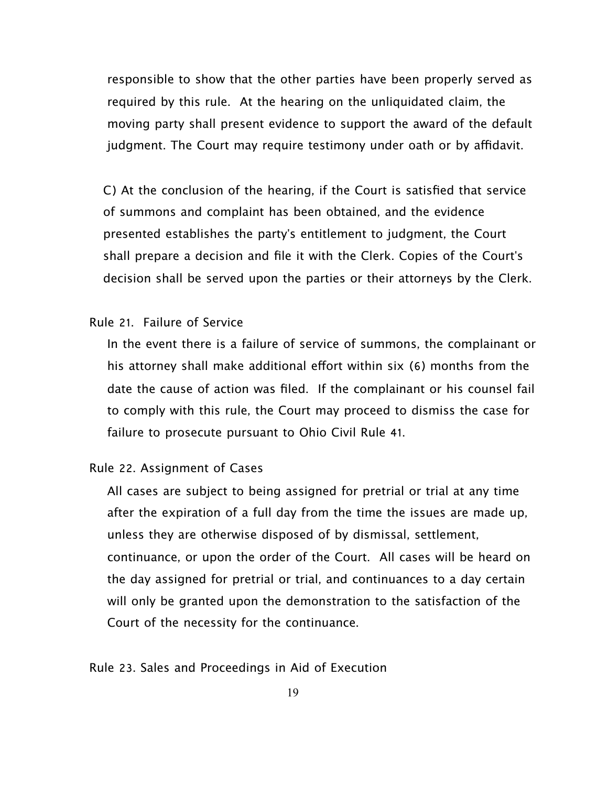responsible to show that the other parties have been properly served as required by this rule. At the hearing on the unliquidated claim, the moving party shall present evidence to support the award of the default judgment. The Court may require testimony under oath or by affidavit.

C) At the conclusion of the hearing, if the Court is satisfied that service of summons and complaint has been obtained, and the evidence presented establishes the party's entitlement to judgment, the Court shall prepare a decision and file it with the Clerk. Copies of the Court's decision shall be served upon the parties or their attorneys by the Clerk.

# Rule 21. Failure of Service

In the event there is a failure of service of summons, the complainant or his attorney shall make additional effort within six (6) months from the date the cause of action was filed. If the complainant or his counsel fail to comply with this rule, the Court may proceed to dismiss the case for failure to prosecute pursuant to Ohio Civil Rule 41.

# Rule 22. Assignment of Cases

All cases are subject to being assigned for pretrial or trial at any time after the expiration of a full day from the time the issues are made up, unless they are otherwise disposed of by dismissal, settlement, continuance, or upon the order of the Court. All cases will be heard on the day assigned for pretrial or trial, and continuances to a day certain will only be granted upon the demonstration to the satisfaction of the Court of the necessity for the continuance.

Rule 23. Sales and Proceedings in Aid of Execution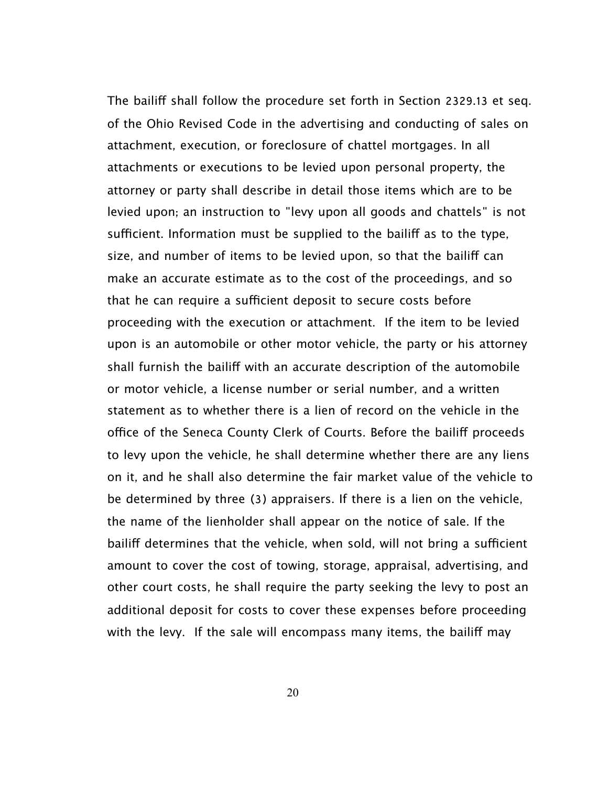The bailiff shall follow the procedure set forth in Section 2329.13 et seg. of the Ohio Revised Code in the advertising and conducting of sales on attachment, execution, or foreclosure of chattel mortgages. In all attachments or executions to be levied upon personal property, the attorney or party shall describe in detail those items which are to be levied upon; an instruction to "levy upon all goods and chattels" is not sufficient. Information must be supplied to the bailiff as to the type, size, and number of items to be levied upon, so that the bailiff can make an accurate estimate as to the cost of the proceedings, and so that he can require a sufficient deposit to secure costs before proceeding with the execution or attachment. If the item to be levied upon is an automobile or other motor vehicle, the party or his attorney shall furnish the bailif with an accurate description of the automobile or motor vehicle, a license number or serial number, and a written statement as to whether there is a lien of record on the vehicle in the office of the Seneca County Clerk of Courts. Before the bailiff proceeds to levy upon the vehicle, he shall determine whether there are any liens on it, and he shall also determine the fair market value of the vehicle to be determined by three (3) appraisers. If there is a lien on the vehicle, the name of the lienholder shall appear on the notice of sale. If the bailiff determines that the vehicle, when sold, will not bring a sufficient amount to cover the cost of towing, storage, appraisal, advertising, and other court costs, he shall require the party seeking the levy to post an additional deposit for costs to cover these expenses before proceeding with the levy. If the sale will encompass many items, the bailif may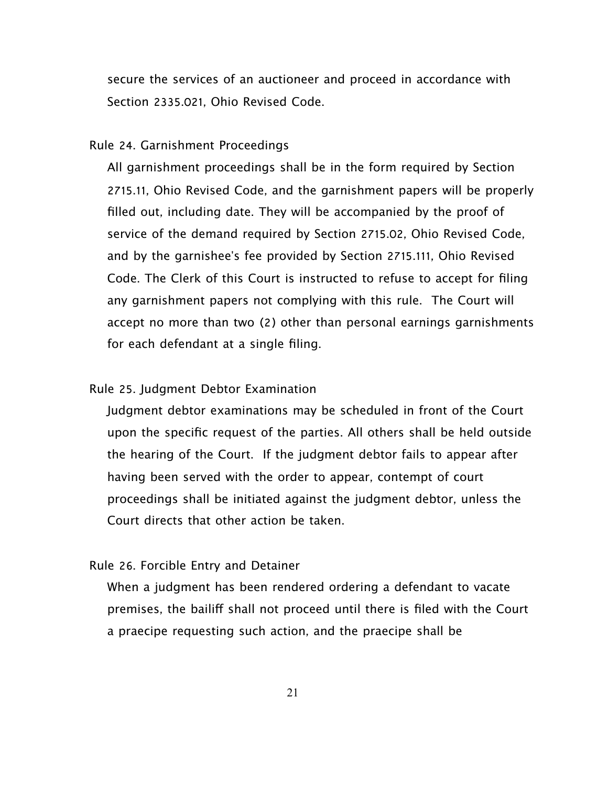secure the services of an auctioneer and proceed in accordance with Section 2335.021, Ohio Revised Code.

#### Rule 24. Garnishment Proceedings

All garnishment proceedings shall be in the form required by Section 2715.11, Ohio Revised Code, and the garnishment papers will be properly filled out, including date. They will be accompanied by the proof of service of the demand required by Section 2715.02, Ohio Revised Code, and by the garnishee's fee provided by Section 2715.111, Ohio Revised Code. The Clerk of this Court is instructed to refuse to accept for filing any garnishment papers not complying with this rule. The Court will accept no more than two (2) other than personal earnings garnishments for each defendant at a single filing.

# Rule 25. Judgment Debtor Examination

Judgment debtor examinations may be scheduled in front of the Court upon the specific request of the parties. All others shall be held outside the hearing of the Court. If the judgment debtor fails to appear after having been served with the order to appear, contempt of court proceedings shall be initiated against the judgment debtor, unless the Court directs that other action be taken.

#### Rule 26. Forcible Entry and Detainer

When a judgment has been rendered ordering a defendant to vacate premises, the bailif shall not proceed until there is filed with the Court a praecipe requesting such action, and the praecipe shall be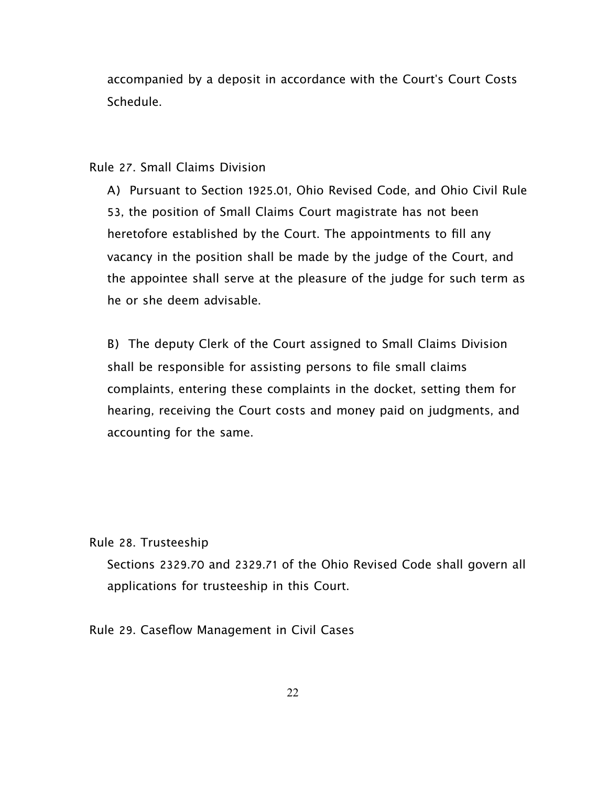accompanied by a deposit in accordance with the Court's Court Costs Schedule.

## Rule 27. Small Claims Division

A) Pursuant to Section 1925.01, Ohio Revised Code, and Ohio Civil Rule 53, the position of Small Claims Court magistrate has not been heretofore established by the Court. The appointments to fill any vacancy in the position shall be made by the judge of the Court, and the appointee shall serve at the pleasure of the judge for such term as he or she deem advisable.

B) The deputy Clerk of the Court assigned to Small Claims Division shall be responsible for assisting persons to file small claims complaints, entering these complaints in the docket, setting them for hearing, receiving the Court costs and money paid on judgments, and accounting for the same.

Rule 28. Trusteeship

Sections 2329.70 and 2329.71 of the Ohio Revised Code shall govern all applications for trusteeship in this Court.

Rule 29. Caseflow Management in Civil Cases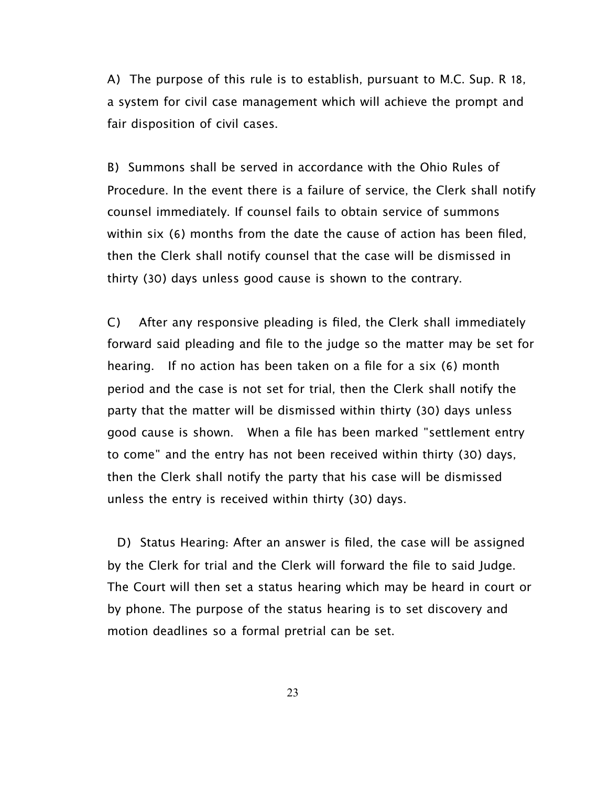A) The purpose of this rule is to establish, pursuant to M.C. Sup. R 18, a system for civil case management which will achieve the prompt and fair disposition of civil cases.

B) Summons shall be served in accordance with the Ohio Rules of Procedure. In the event there is a failure of service, the Clerk shall notify counsel immediately. If counsel fails to obtain service of summons within six (6) months from the date the cause of action has been filed, then the Clerk shall notify counsel that the case will be dismissed in thirty (30) days unless good cause is shown to the contrary.

C) After any responsive pleading is filed, the Clerk shall immediately forward said pleading and file to the judge so the matter may be set for hearing. If no action has been taken on a file for a six (6) month period and the case is not set for trial, then the Clerk shall notify the party that the matter will be dismissed within thirty (30) days unless good cause is shown. When a file has been marked "settlement entry to come" and the entry has not been received within thirty (30) days, then the Clerk shall notify the party that his case will be dismissed unless the entry is received within thirty (30) days.

 D) Status Hearing: After an answer is filed, the case will be assigned by the Clerk for trial and the Clerk will forward the file to said Judge. The Court will then set a status hearing which may be heard in court or by phone. The purpose of the status hearing is to set discovery and motion deadlines so a formal pretrial can be set.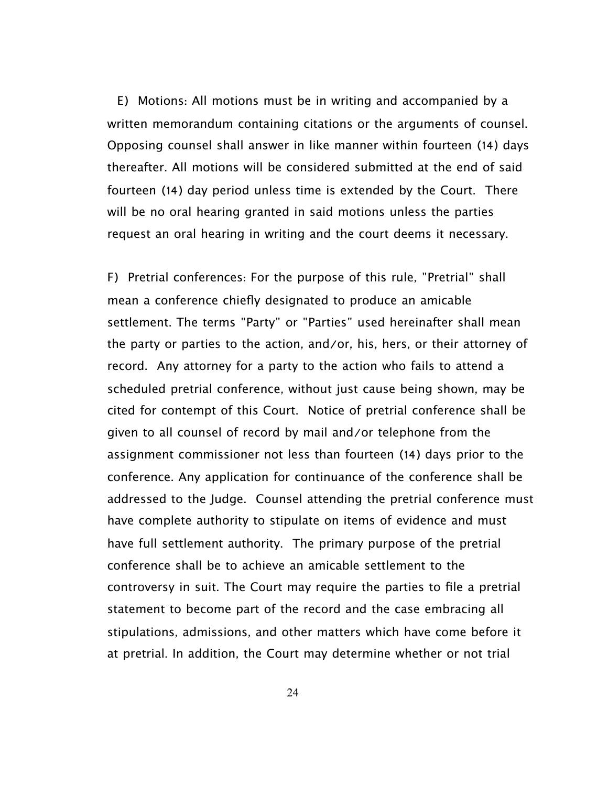E) Motions: All motions must be in writing and accompanied by a written memorandum containing citations or the arguments of counsel. Opposing counsel shall answer in like manner within fourteen (14) days thereafter. All motions will be considered submitted at the end of said fourteen (14) day period unless time is extended by the Court. There will be no oral hearing granted in said motions unless the parties request an oral hearing in writing and the court deems it necessary.

 F) Pretrial conferences: For the purpose of this rule, "Pretrial" shall mean a conference chiefly designated to produce an amicable settlement. The terms "Party" or "Parties" used hereinafter shall mean the party or parties to the action, and/or, his, hers, or their attorney of record. Any attorney for a party to the action who fails to attend a scheduled pretrial conference, without just cause being shown, may be cited for contempt of this Court. Notice of pretrial conference shall be given to all counsel of record by mail and/or telephone from the assignment commissioner not less than fourteen (14) days prior to the conference. Any application for continuance of the conference shall be addressed to the Judge. Counsel attending the pretrial conference must have complete authority to stipulate on items of evidence and must have full settlement authority. The primary purpose of the pretrial conference shall be to achieve an amicable settlement to the controversy in suit. The Court may require the parties to file a pretrial statement to become part of the record and the case embracing all stipulations, admissions, and other matters which have come before it at pretrial. In addition, the Court may determine whether or not trial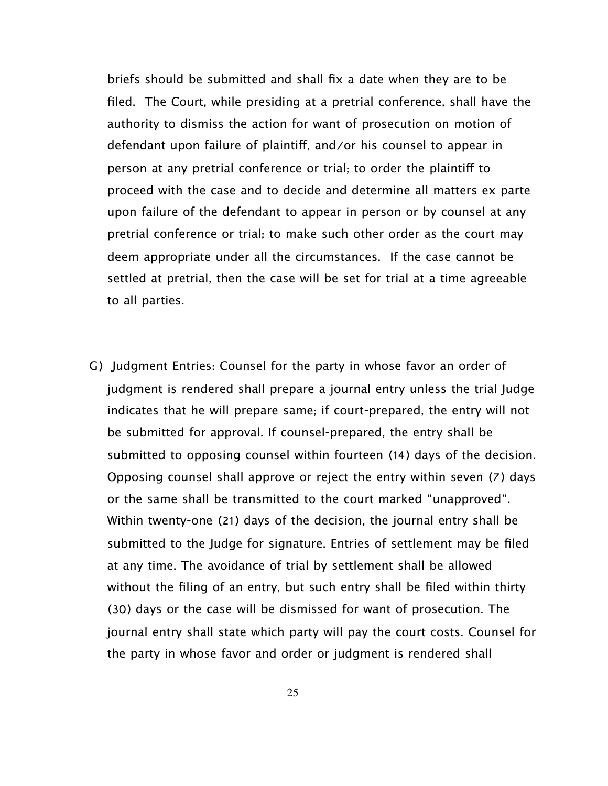briefs should be submitted and shall fix a date when they are to be filed. The Court, while presiding at a pretrial conference, shall have the authority to dismiss the action for want of prosecution on motion of defendant upon failure of plaintif, and/or his counsel to appear in person at any pretrial conference or trial; to order the plaintif to proceed with the case and to decide and determine all matters ex parte upon failure of the defendant to appear in person or by counsel at any pretrial conference or trial; to make such other order as the court may deem appropriate under all the circumstances. If the case cannot be settled at pretrial, then the case will be set for trial at a time agreeable to all parties.

G) Judgment Entries: Counsel for the party in whose favor an order of judgment is rendered shall prepare a journal entry unless the trial Judge indicates that he will prepare same; if court-prepared, the entry will not be submitted for approval. If counsel-prepared, the entry shall be submitted to opposing counsel within fourteen (14) days of the decision. Opposing counsel shall approve or reject the entry within seven (7) days or the same shall be transmitted to the court marked "unapproved". Within twenty-one (21) days of the decision, the journal entry shall be submitted to the Judge for signature. Entries of settlement may be filed at any time. The avoidance of trial by settlement shall be allowed without the filing of an entry, but such entry shall be filed within thirty (30) days or the case will be dismissed for want of prosecution. The journal entry shall state which party will pay the court costs. Counsel for the party in whose favor and order or judgment is rendered shall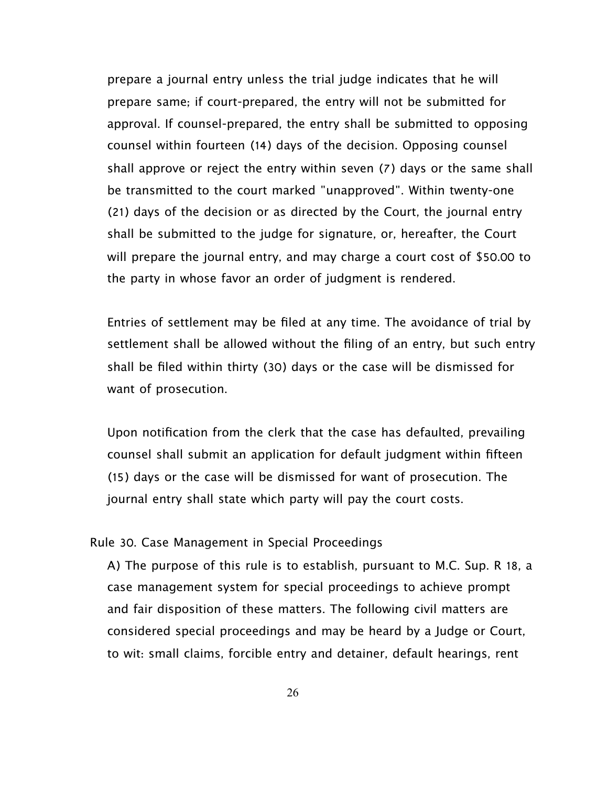prepare a journal entry unless the trial judge indicates that he will prepare same; if court-prepared, the entry will not be submitted for approval. If counsel-prepared, the entry shall be submitted to opposing counsel within fourteen (14) days of the decision. Opposing counsel shall approve or reject the entry within seven (7) days or the same shall be transmitted to the court marked "unapproved". Within twenty-one (21) days of the decision or as directed by the Court, the journal entry shall be submitted to the judge for signature, or, hereafter, the Court will prepare the journal entry, and may charge a court cost of \$50.00 to the party in whose favor an order of judgment is rendered.

Entries of settlement may be filed at any time. The avoidance of trial by settlement shall be allowed without the filing of an entry, but such entry shall be filed within thirty (30) days or the case will be dismissed for want of prosecution.

Upon notification from the clerk that the case has defaulted, prevailing counsel shall submit an application for default judgment within fifteen (15) days or the case will be dismissed for want of prosecution. The journal entry shall state which party will pay the court costs.

#### Rule 30. Case Management in Special Proceedings

A) The purpose of this rule is to establish, pursuant to M.C. Sup. R 18, a case management system for special proceedings to achieve prompt and fair disposition of these matters. The following civil matters are considered special proceedings and may be heard by a Judge or Court, to wit: small claims, forcible entry and detainer, default hearings, rent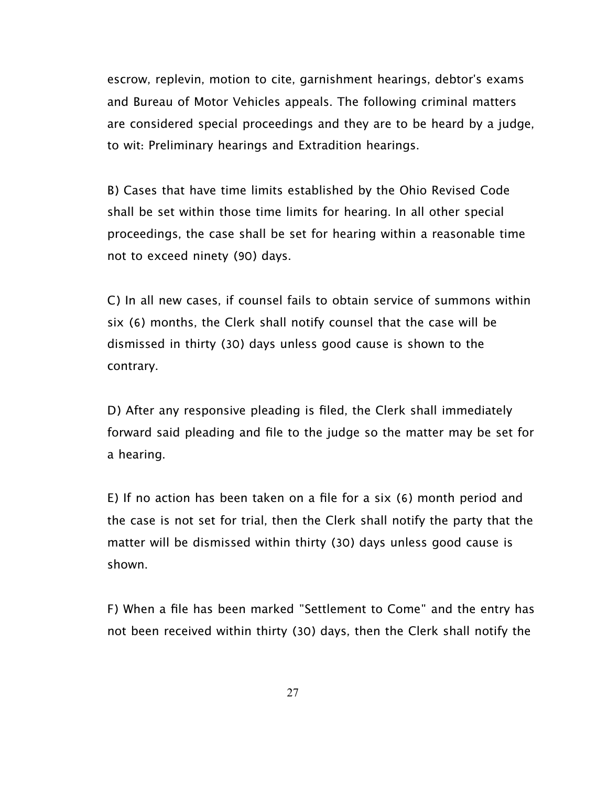escrow, replevin, motion to cite, garnishment hearings, debtor's exams and Bureau of Motor Vehicles appeals. The following criminal matters are considered special proceedings and they are to be heard by a judge, to wit: Preliminary hearings and Extradition hearings.

B) Cases that have time limits established by the Ohio Revised Code shall be set within those time limits for hearing. In all other special proceedings, the case shall be set for hearing within a reasonable time not to exceed ninety (90) days.

C) In all new cases, if counsel fails to obtain service of summons within six (6) months, the Clerk shall notify counsel that the case will be dismissed in thirty (30) days unless good cause is shown to the contrary.

D) After any responsive pleading is filed, the Clerk shall immediately forward said pleading and file to the judge so the matter may be set for a hearing.

E) If no action has been taken on a file for a six (6) month period and the case is not set for trial, then the Clerk shall notify the party that the matter will be dismissed within thirty (30) days unless good cause is shown.

F) When a file has been marked "Settlement to Come" and the entry has not been received within thirty (30) days, then the Clerk shall notify the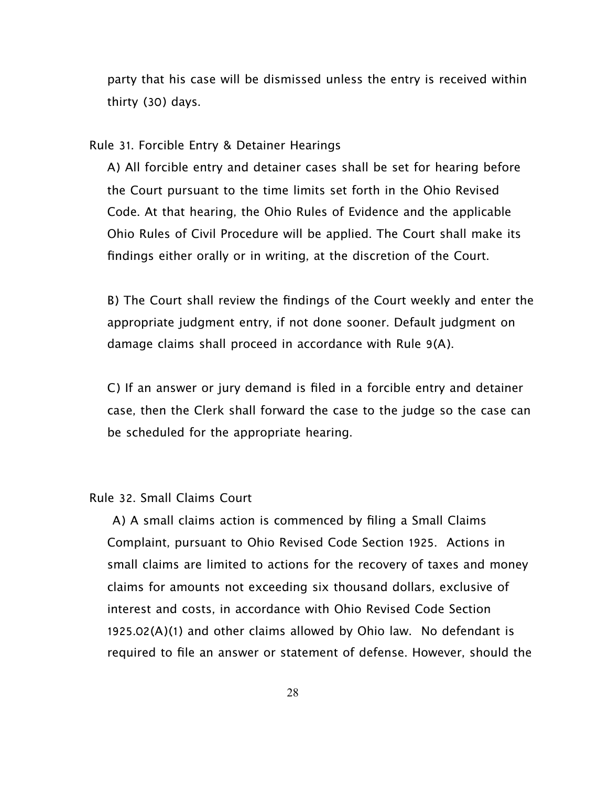party that his case will be dismissed unless the entry is received within thirty (30) days.

Rule 31. Forcible Entry & Detainer Hearings

A) All forcible entry and detainer cases shall be set for hearing before the Court pursuant to the time limits set forth in the Ohio Revised Code. At that hearing, the Ohio Rules of Evidence and the applicable Ohio Rules of Civil Procedure will be applied. The Court shall make its findings either orally or in writing, at the discretion of the Court.

B) The Court shall review the findings of the Court weekly and enter the appropriate judgment entry, if not done sooner. Default judgment on damage claims shall proceed in accordance with Rule 9(A).

C) If an answer or jury demand is filed in a forcible entry and detainer case, then the Clerk shall forward the case to the judge so the case can be scheduled for the appropriate hearing.

#### Rule 32. Small Claims Court

 A) A small claims action is commenced by filing a Small Claims Complaint, pursuant to Ohio Revised Code Section 1925. Actions in small claims are limited to actions for the recovery of taxes and money claims for amounts not exceeding six thousand dollars, exclusive of interest and costs, in accordance with Ohio Revised Code Section 1925.02(A)(1) and other claims allowed by Ohio law. No defendant is required to file an answer or statement of defense. However, should the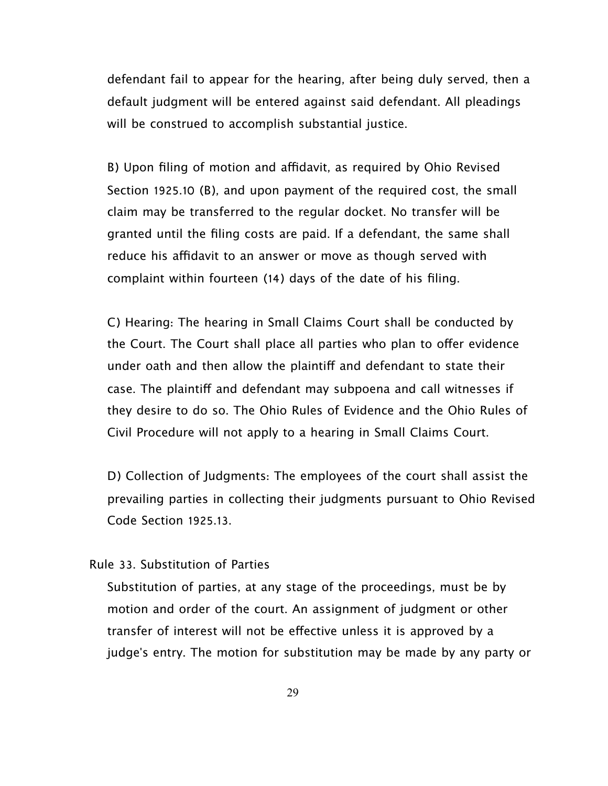defendant fail to appear for the hearing, after being duly served, then a default judgment will be entered against said defendant. All pleadings will be construed to accomplish substantial justice.

B) Upon filing of motion and affidavit, as required by Ohio Revised Section 1925.10 (B), and upon payment of the required cost, the small claim may be transferred to the regular docket. No transfer will be granted until the filing costs are paid. If a defendant, the same shall reduce his affidavit to an answer or move as though served with complaint within fourteen (14) days of the date of his filing.

C) Hearing: The hearing in Small Claims Court shall be conducted by the Court. The Court shall place all parties who plan to offer evidence under oath and then allow the plaintiff and defendant to state their case. The plaintif and defendant may subpoena and call witnesses if they desire to do so. The Ohio Rules of Evidence and the Ohio Rules of Civil Procedure will not apply to a hearing in Small Claims Court.

D) Collection of Judgments: The employees of the court shall assist the prevailing parties in collecting their judgments pursuant to Ohio Revised Code Section 1925.13.

## Rule 33. Substitution of Parties

Substitution of parties, at any stage of the proceedings, must be by motion and order of the court. An assignment of judgment or other transfer of interest will not be efective unless it is approved by a judge's entry. The motion for substitution may be made by any party or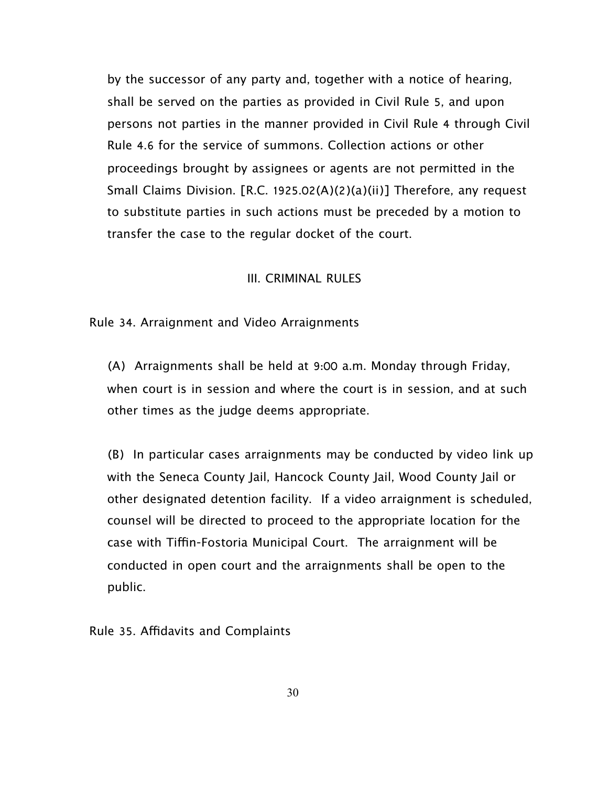by the successor of any party and, together with a notice of hearing, shall be served on the parties as provided in Civil Rule 5, and upon persons not parties in the manner provided in Civil Rule 4 through Civil Rule 4.6 for the service of summons. Collection actions or other proceedings brought by assignees or agents are not permitted in the Small Claims Division. [R.C. 1925.02(A)(2)(a)(ii)] Therefore, any request to substitute parties in such actions must be preceded by a motion to transfer the case to the regular docket of the court.

## III. CRIMINAL RULES

## Rule 34. Arraignment and Video Arraignments

(A) Arraignments shall be held at 9:00 a.m. Monday through Friday, when court is in session and where the court is in session, and at such other times as the judge deems appropriate.

(B) In particular cases arraignments may be conducted by video link up with the Seneca County Jail, Hancock County Jail, Wood County Jail or other designated detention facility. If a video arraignment is scheduled, counsel will be directed to proceed to the appropriate location for the case with Tifn-Fostoria Municipal Court. The arraignment will be conducted in open court and the arraignments shall be open to the public.

Rule 35. Afdavits and Complaints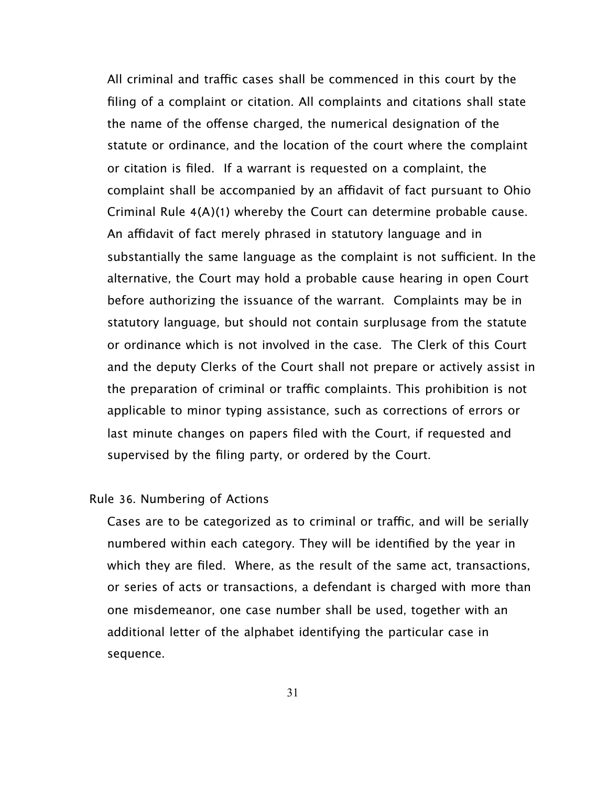All criminal and traffic cases shall be commenced in this court by the filing of a complaint or citation. All complaints and citations shall state the name of the offense charged, the numerical designation of the statute or ordinance, and the location of the court where the complaint or citation is filed. If a warrant is requested on a complaint, the complaint shall be accompanied by an affidavit of fact pursuant to Ohio Criminal Rule 4(A)(1) whereby the Court can determine probable cause. An affidavit of fact merely phrased in statutory language and in substantially the same language as the complaint is not sufficient. In the alternative, the Court may hold a probable cause hearing in open Court before authorizing the issuance of the warrant. Complaints may be in statutory language, but should not contain surplusage from the statute or ordinance which is not involved in the case. The Clerk of this Court and the deputy Clerks of the Court shall not prepare or actively assist in the preparation of criminal or traffic complaints. This prohibition is not applicable to minor typing assistance, such as corrections of errors or last minute changes on papers filed with the Court, if requested and supervised by the filing party, or ordered by the Court.

#### Rule 36. Numbering of Actions

Cases are to be categorized as to criminal or traffic, and will be serially numbered within each category. They will be identified by the year in which they are filed. Where, as the result of the same act, transactions, or series of acts or transactions, a defendant is charged with more than one misdemeanor, one case number shall be used, together with an additional letter of the alphabet identifying the particular case in sequence.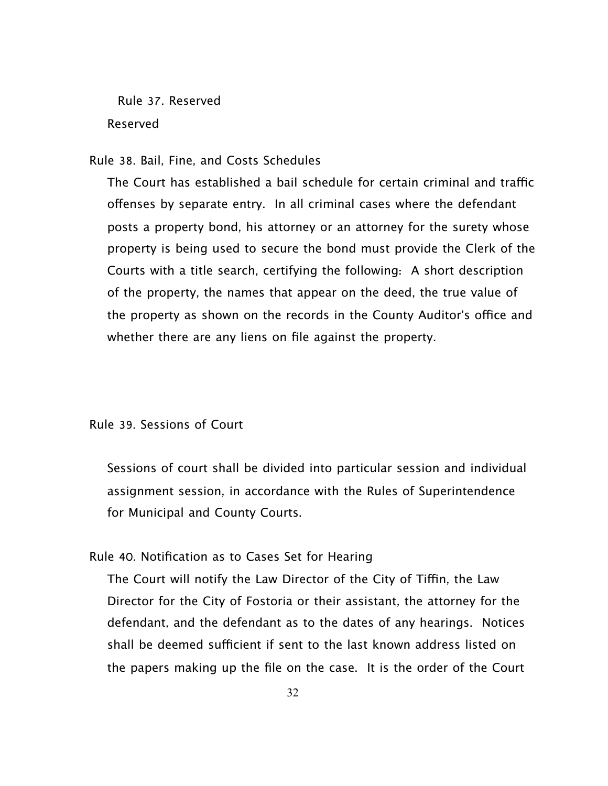Rule 37. Reserved Reserved

#### Rule 38. Bail, Fine, and Costs Schedules

The Court has established a bail schedule for certain criminal and traffic ofenses by separate entry. In all criminal cases where the defendant posts a property bond, his attorney or an attorney for the surety whose property is being used to secure the bond must provide the Clerk of the Courts with a title search, certifying the following: A short description of the property, the names that appear on the deed, the true value of the property as shown on the records in the County Auditor's office and whether there are any liens on file against the property.

#### Rule 39. Sessions of Court

Sessions of court shall be divided into particular session and individual assignment session, in accordance with the Rules of Superintendence for Municipal and County Courts.

## Rule 40. Notification as to Cases Set for Hearing

The Court will notify the Law Director of the City of Tiffin, the Law Director for the City of Fostoria or their assistant, the attorney for the defendant, and the defendant as to the dates of any hearings. Notices shall be deemed sufficient if sent to the last known address listed on the papers making up the file on the case. It is the order of the Court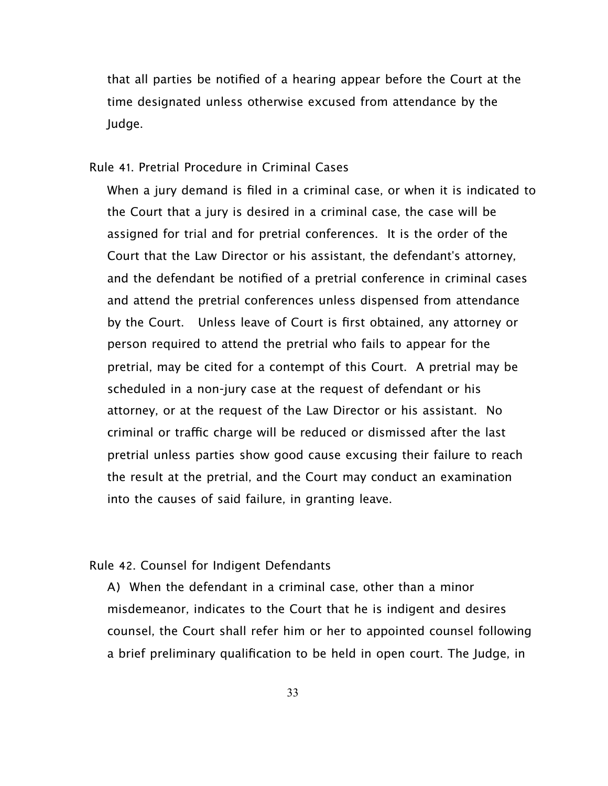that all parties be notified of a hearing appear before the Court at the time designated unless otherwise excused from attendance by the Judge.

#### Rule 41. Pretrial Procedure in Criminal Cases

When a jury demand is filed in a criminal case, or when it is indicated to the Court that a jury is desired in a criminal case, the case will be assigned for trial and for pretrial conferences. It is the order of the Court that the Law Director or his assistant, the defendant's attorney, and the defendant be notified of a pretrial conference in criminal cases and attend the pretrial conferences unless dispensed from attendance by the Court. Unless leave of Court is first obtained, any attorney or person required to attend the pretrial who fails to appear for the pretrial, may be cited for a contempt of this Court. A pretrial may be scheduled in a non-jury case at the request of defendant or his attorney, or at the request of the Law Director or his assistant. No criminal or traffic charge will be reduced or dismissed after the last pretrial unless parties show good cause excusing their failure to reach the result at the pretrial, and the Court may conduct an examination into the causes of said failure, in granting leave.

## Rule 42. Counsel for Indigent Defendants

A) When the defendant in a criminal case, other than a minor misdemeanor, indicates to the Court that he is indigent and desires counsel, the Court shall refer him or her to appointed counsel following a brief preliminary qualification to be held in open court. The Judge, in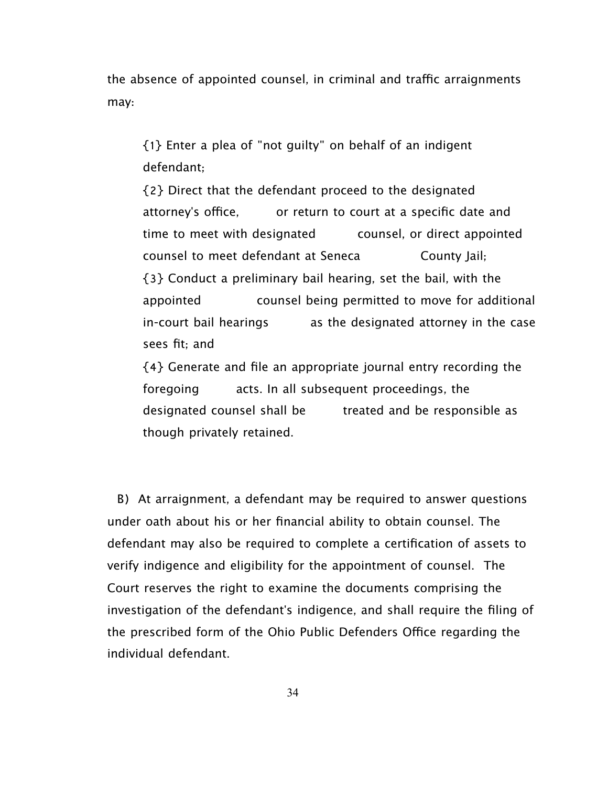the absence of appointed counsel, in criminal and traffic arraignments may:

{1} Enter a plea of "not guilty" on behalf of an indigent defendant;

{2} Direct that the defendant proceed to the designated attorney's office, or return to court at a specific date and time to meet with designated counsel, or direct appointed counsel to meet defendant at Seneca County Jail; {3} Conduct a preliminary bail hearing, set the bail, with the appointed counsel being permitted to move for additional in-court bail hearings as the designated attorney in the case sees fit; and

{4} Generate and file an appropriate journal entry recording the foregoing acts. In all subsequent proceedings, the designated counsel shall be treated and be responsible as though privately retained.

 B) At arraignment, a defendant may be required to answer questions under oath about his or her financial ability to obtain counsel. The defendant may also be required to complete a certification of assets to verify indigence and eligibility for the appointment of counsel. The Court reserves the right to examine the documents comprising the investigation of the defendant's indigence, and shall require the filing of the prescribed form of the Ohio Public Defenders Office regarding the individual defendant.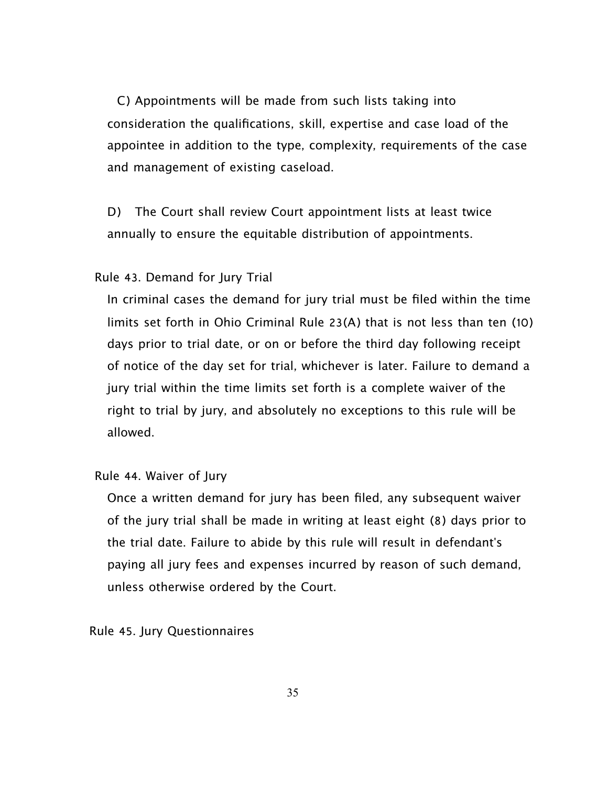C) Appointments will be made from such lists taking into consideration the qualifications, skill, expertise and case load of the appointee in addition to the type, complexity, requirements of the case and management of existing caseload.

D) The Court shall review Court appointment lists at least twice annually to ensure the equitable distribution of appointments.

Rule 43. Demand for Jury Trial

In criminal cases the demand for jury trial must be filed within the time limits set forth in Ohio Criminal Rule 23(A) that is not less than ten (10) days prior to trial date, or on or before the third day following receipt of notice of the day set for trial, whichever is later. Failure to demand a jury trial within the time limits set forth is a complete waiver of the right to trial by jury, and absolutely no exceptions to this rule will be allowed.

Rule 44. Waiver of Jury

Once a written demand for jury has been filed, any subsequent waiver of the jury trial shall be made in writing at least eight (8) days prior to the trial date. Failure to abide by this rule will result in defendant's paying all jury fees and expenses incurred by reason of such demand, unless otherwise ordered by the Court.

Rule 45. Jury Questionnaires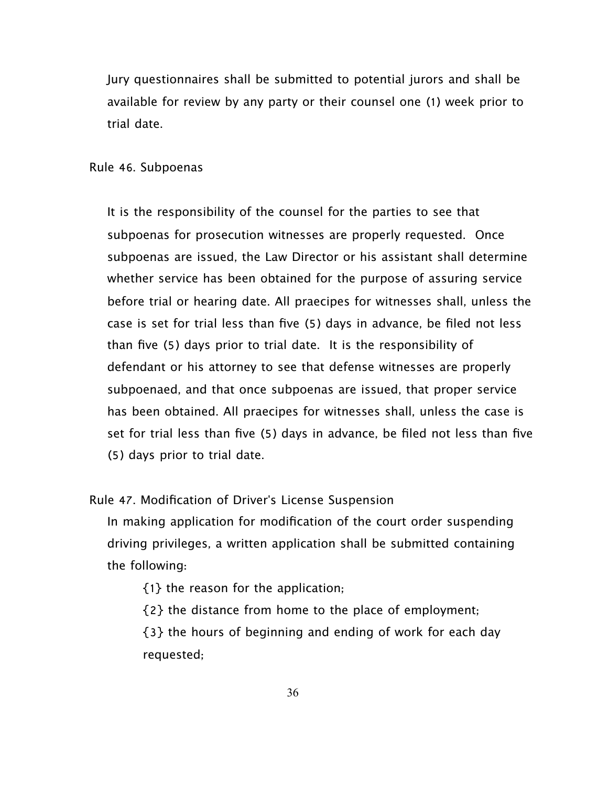Jury questionnaires shall be submitted to potential jurors and shall be available for review by any party or their counsel one (1) week prior to trial date.

Rule 46. Subpoenas

It is the responsibility of the counsel for the parties to see that subpoenas for prosecution witnesses are properly requested. Once subpoenas are issued, the Law Director or his assistant shall determine whether service has been obtained for the purpose of assuring service before trial or hearing date. All praecipes for witnesses shall, unless the case is set for trial less than five (5) days in advance, be filed not less than five (5) days prior to trial date. It is the responsibility of defendant or his attorney to see that defense witnesses are properly subpoenaed, and that once subpoenas are issued, that proper service has been obtained. All praecipes for witnesses shall, unless the case is set for trial less than five (5) days in advance, be filed not less than five (5) days prior to trial date.

Rule 47. Modification of Driver's License Suspension

In making application for modification of the court order suspending driving privileges, a written application shall be submitted containing the following:

{1} the reason for the application;

{2} the distance from home to the place of employment;

{3} the hours of beginning and ending of work for each day requested;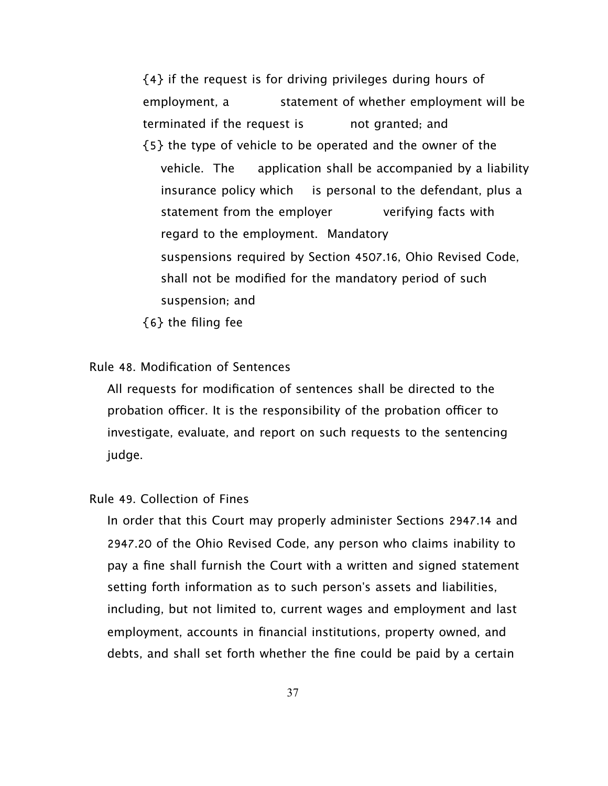{4} if the request is for driving privileges during hours of employment, a statement of whether employment will be terminated if the request is each not granted; and {5} the type of vehicle to be operated and the owner of the vehicle. The application shall be accompanied by a liability insurance policy which is personal to the defendant, plus a statement from the employer verifying facts with regard to the employment. Mandatory suspensions required by Section 4507.16, Ohio Revised Code, shall not be modified for the mandatory period of such suspension; and

{6} the filing fee

# Rule 48. Modification of Sentences

All requests for modification of sentences shall be directed to the probation officer. It is the responsibility of the probation officer to investigate, evaluate, and report on such requests to the sentencing judge.

# Rule 49. Collection of Fines

In order that this Court may properly administer Sections 2947.14 and 2947.20 of the Ohio Revised Code, any person who claims inability to pay a fine shall furnish the Court with a written and signed statement setting forth information as to such person's assets and liabilities, including, but not limited to, current wages and employment and last employment, accounts in financial institutions, property owned, and debts, and shall set forth whether the fine could be paid by a certain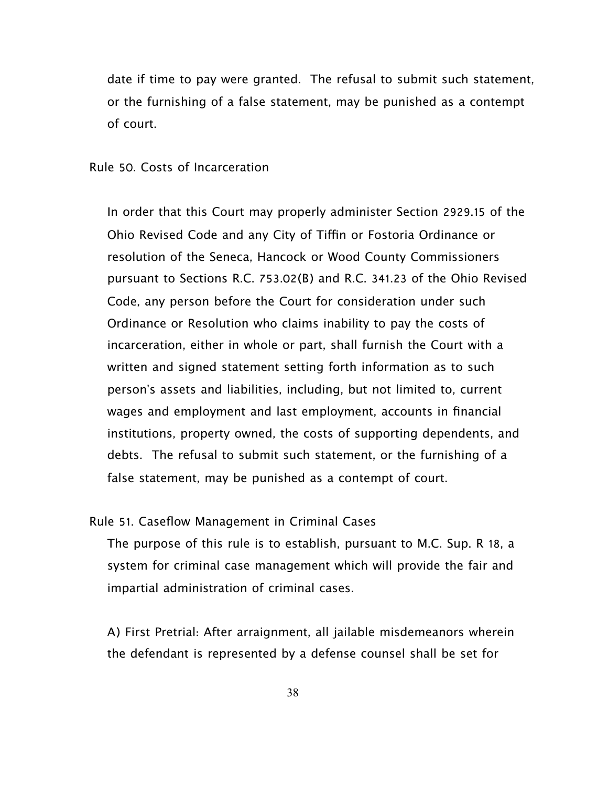date if time to pay were granted. The refusal to submit such statement, or the furnishing of a false statement, may be punished as a contempt of court.

#### Rule 50. Costs of Incarceration

In order that this Court may properly administer Section 2929.15 of the Ohio Revised Code and any City of Tiffin or Fostoria Ordinance or resolution of the Seneca, Hancock or Wood County Commissioners pursuant to Sections R.C. 753.02(B) and R.C. 341.23 of the Ohio Revised Code, any person before the Court for consideration under such Ordinance or Resolution who claims inability to pay the costs of incarceration, either in whole or part, shall furnish the Court with a written and signed statement setting forth information as to such person's assets and liabilities, including, but not limited to, current wages and employment and last employment, accounts in financial institutions, property owned, the costs of supporting dependents, and debts. The refusal to submit such statement, or the furnishing of a false statement, may be punished as a contempt of court.

#### Rule 51. Caseflow Management in Criminal Cases

The purpose of this rule is to establish, pursuant to M.C. Sup. R 18, a system for criminal case management which will provide the fair and impartial administration of criminal cases.

A) First Pretrial: After arraignment, all jailable misdemeanors wherein the defendant is represented by a defense counsel shall be set for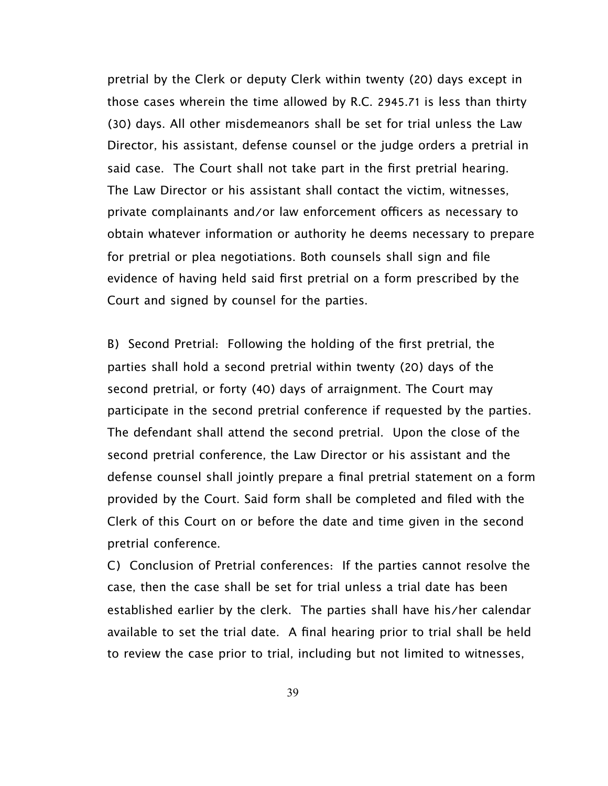pretrial by the Clerk or deputy Clerk within twenty (20) days except in those cases wherein the time allowed by R.C. 2945.71 is less than thirty (30) days. All other misdemeanors shall be set for trial unless the Law Director, his assistant, defense counsel or the judge orders a pretrial in said case. The Court shall not take part in the first pretrial hearing. The Law Director or his assistant shall contact the victim, witnesses, private complainants and/or law enforcement officers as necessary to obtain whatever information or authority he deems necessary to prepare for pretrial or plea negotiations. Both counsels shall sign and file evidence of having held said first pretrial on a form prescribed by the Court and signed by counsel for the parties.

B) Second Pretrial: Following the holding of the first pretrial, the parties shall hold a second pretrial within twenty (20) days of the second pretrial, or forty (40) days of arraignment. The Court may participate in the second pretrial conference if requested by the parties. The defendant shall attend the second pretrial. Upon the close of the second pretrial conference, the Law Director or his assistant and the defense counsel shall jointly prepare a final pretrial statement on a form provided by the Court. Said form shall be completed and filed with the Clerk of this Court on or before the date and time given in the second pretrial conference.

C) Conclusion of Pretrial conferences: If the parties cannot resolve the case, then the case shall be set for trial unless a trial date has been established earlier by the clerk. The parties shall have his/her calendar available to set the trial date. A final hearing prior to trial shall be held to review the case prior to trial, including but not limited to witnesses,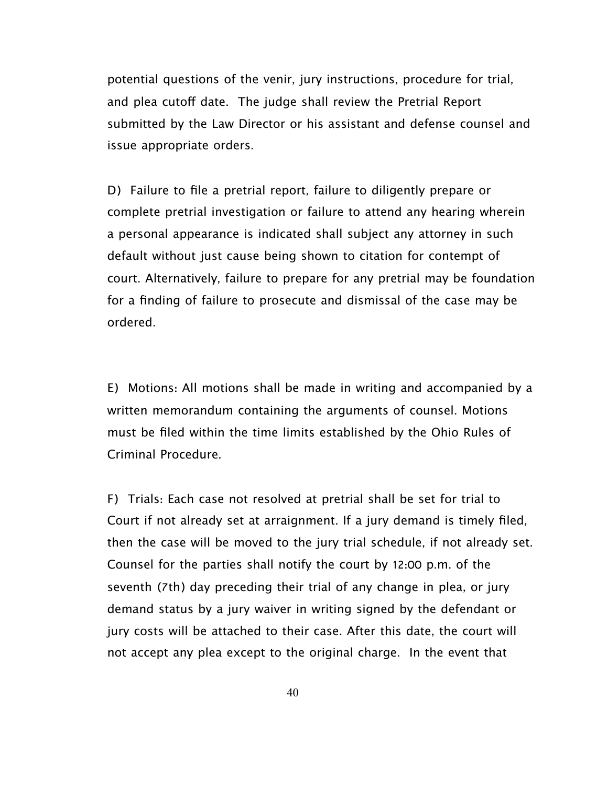potential questions of the venir, jury instructions, procedure for trial, and plea cutoff date. The judge shall review the Pretrial Report submitted by the Law Director or his assistant and defense counsel and issue appropriate orders.

D) Failure to file a pretrial report, failure to diligently prepare or complete pretrial investigation or failure to attend any hearing wherein a personal appearance is indicated shall subject any attorney in such default without just cause being shown to citation for contempt of court. Alternatively, failure to prepare for any pretrial may be foundation for a finding of failure to prosecute and dismissal of the case may be ordered.

E) Motions: All motions shall be made in writing and accompanied by a written memorandum containing the arguments of counsel. Motions must be filed within the time limits established by the Ohio Rules of Criminal Procedure.

F) Trials: Each case not resolved at pretrial shall be set for trial to Court if not already set at arraignment. If a jury demand is timely filed, then the case will be moved to the jury trial schedule, if not already set. Counsel for the parties shall notify the court by 12:00 p.m. of the seventh (7th) day preceding their trial of any change in plea, or jury demand status by a jury waiver in writing signed by the defendant or jury costs will be attached to their case. After this date, the court will not accept any plea except to the original charge. In the event that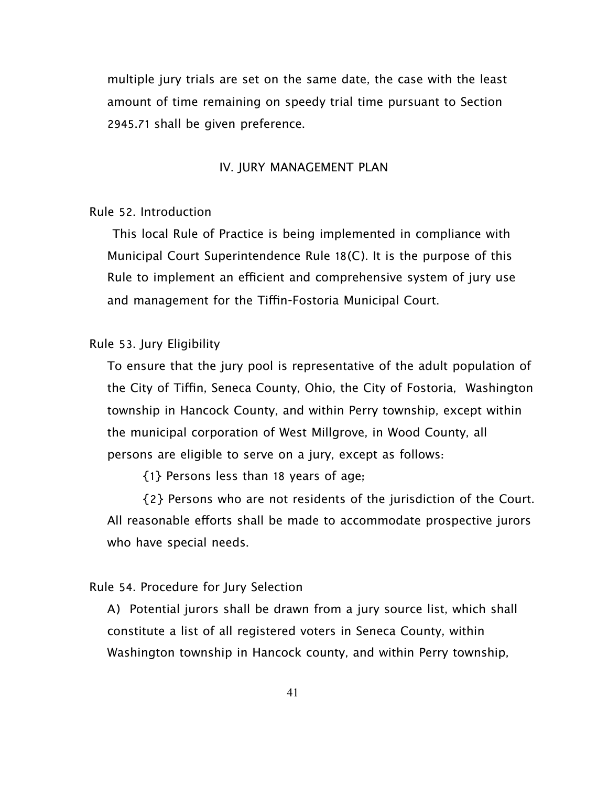multiple jury trials are set on the same date, the case with the least amount of time remaining on speedy trial time pursuant to Section 2945.71 shall be given preference.

#### IV. JURY MANAGEMENT PLAN

#### Rule 52. Introduction

 This local Rule of Practice is being implemented in compliance with Municipal Court Superintendence Rule 18(C). It is the purpose of this Rule to implement an efficient and comprehensive system of jury use and management for the Tiffin-Fostoria Municipal Court.

## Rule 53. Jury Eligibility

To ensure that the jury pool is representative of the adult population of the City of Tiffin, Seneca County, Ohio, the City of Fostoria, Washington township in Hancock County, and within Perry township, except within the municipal corporation of West Millgrove, in Wood County, all persons are eligible to serve on a jury, except as follows:

{1} Persons less than 18 years of age;

 {2} Persons who are not residents of the jurisdiction of the Court. All reasonable efforts shall be made to accommodate prospective jurors who have special needs.

# Rule 54. Procedure for Jury Selection

A) Potential jurors shall be drawn from a jury source list, which shall constitute a list of all registered voters in Seneca County, within Washington township in Hancock county, and within Perry township,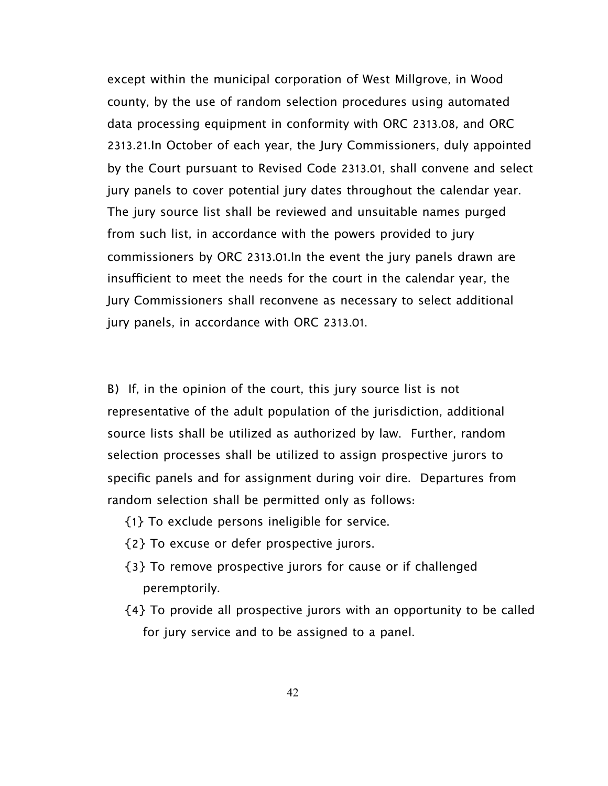except within the municipal corporation of West Millgrove, in Wood county, by the use of random selection procedures using automated data processing equipment in conformity with ORC 2313.08, and ORC 2313.21.In October of each year, the Jury Commissioners, duly appointed by the Court pursuant to Revised Code 2313.01, shall convene and select jury panels to cover potential jury dates throughout the calendar year. The jury source list shall be reviewed and unsuitable names purged from such list, in accordance with the powers provided to jury commissioners by ORC 2313.01.In the event the jury panels drawn are insufficient to meet the needs for the court in the calendar year, the Jury Commissioners shall reconvene as necessary to select additional jury panels, in accordance with ORC 2313.01.

B) If, in the opinion of the court, this jury source list is not representative of the adult population of the jurisdiction, additional source lists shall be utilized as authorized by law. Further, random selection processes shall be utilized to assign prospective jurors to specific panels and for assignment during voir dire. Departures from random selection shall be permitted only as follows:

- {1} To exclude persons ineligible for service.
- {2} To excuse or defer prospective jurors.
- {3} To remove prospective jurors for cause or if challenged peremptorily.
- {4} To provide all prospective jurors with an opportunity to be called for jury service and to be assigned to a panel.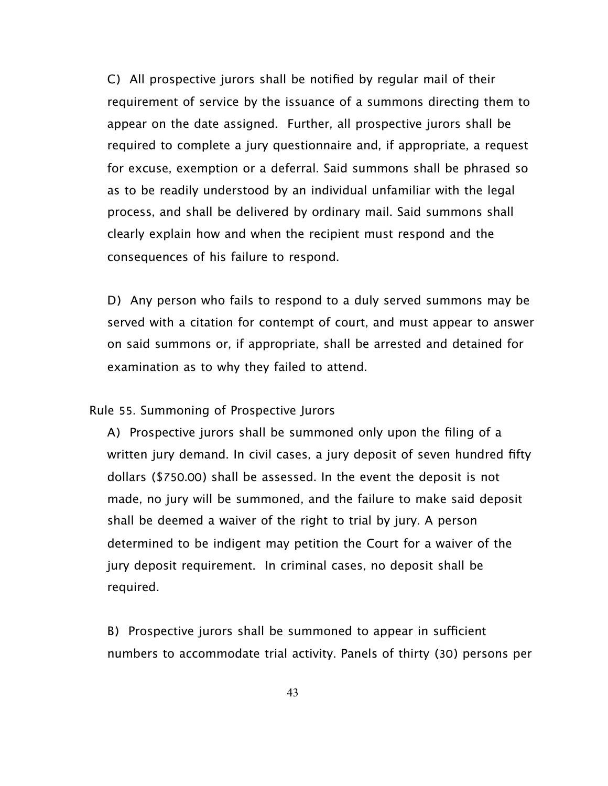C) All prospective jurors shall be notified by regular mail of their requirement of service by the issuance of a summons directing them to appear on the date assigned. Further, all prospective jurors shall be required to complete a jury questionnaire and, if appropriate, a request for excuse, exemption or a deferral. Said summons shall be phrased so as to be readily understood by an individual unfamiliar with the legal process, and shall be delivered by ordinary mail. Said summons shall clearly explain how and when the recipient must respond and the consequences of his failure to respond.

D) Any person who fails to respond to a duly served summons may be served with a citation for contempt of court, and must appear to answer on said summons or, if appropriate, shall be arrested and detained for examination as to why they failed to attend.

Rule 55. Summoning of Prospective Jurors

A) Prospective jurors shall be summoned only upon the filing of a written jury demand. In civil cases, a jury deposit of seven hundred fifty dollars (\$750.00) shall be assessed. In the event the deposit is not made, no jury will be summoned, and the failure to make said deposit shall be deemed a waiver of the right to trial by jury. A person determined to be indigent may petition the Court for a waiver of the jury deposit requirement. In criminal cases, no deposit shall be required.

B) Prospective jurors shall be summoned to appear in sufficient numbers to accommodate trial activity. Panels of thirty (30) persons per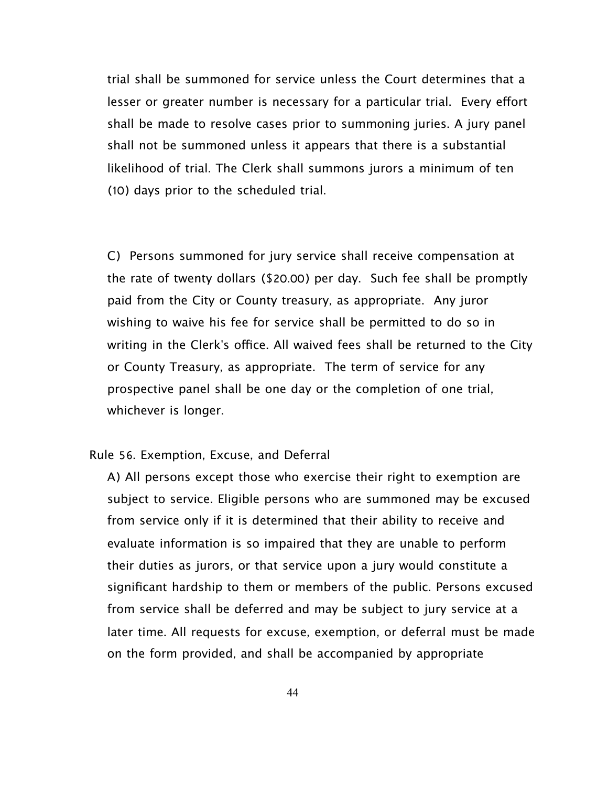trial shall be summoned for service unless the Court determines that a lesser or greater number is necessary for a particular trial. Every effort shall be made to resolve cases prior to summoning juries. A jury panel shall not be summoned unless it appears that there is a substantial likelihood of trial. The Clerk shall summons jurors a minimum of ten (10) days prior to the scheduled trial.

C) Persons summoned for jury service shall receive compensation at the rate of twenty dollars (\$20.00) per day. Such fee shall be promptly paid from the City or County treasury, as appropriate. Any juror wishing to waive his fee for service shall be permitted to do so in writing in the Clerk's office. All waived fees shall be returned to the City or County Treasury, as appropriate. The term of service for any prospective panel shall be one day or the completion of one trial, whichever is longer.

## Rule 56. Exemption, Excuse, and Deferral

 A) All persons except those who exercise their right to exemption are subject to service. Eligible persons who are summoned may be excused from service only if it is determined that their ability to receive and evaluate information is so impaired that they are unable to perform their duties as jurors, or that service upon a jury would constitute a significant hardship to them or members of the public. Persons excused from service shall be deferred and may be subject to jury service at a later time. All requests for excuse, exemption, or deferral must be made on the form provided, and shall be accompanied by appropriate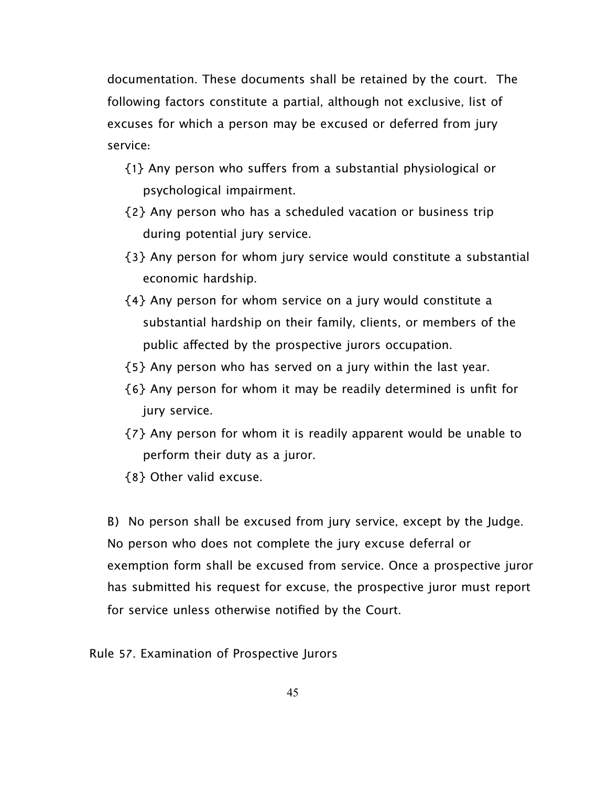documentation. These documents shall be retained by the court. The following factors constitute a partial, although not exclusive, list of excuses for which a person may be excused or deferred from jury service:

- {1} Any person who sufers from a substantial physiological or psychological impairment.
- {2} Any person who has a scheduled vacation or business trip during potential jury service.
- {3} Any person for whom jury service would constitute a substantial economic hardship.
- {4} Any person for whom service on a jury would constitute a substantial hardship on their family, clients, or members of the public afected by the prospective jurors occupation.
- {5} Any person who has served on a jury within the last year.
- {6} Any person for whom it may be readily determined is unfit for jury service.
- {7} Any person for whom it is readily apparent would be unable to perform their duty as a juror.
- {8} Other valid excuse.

B) No person shall be excused from jury service, except by the Judge. No person who does not complete the jury excuse deferral or exemption form shall be excused from service. Once a prospective juror has submitted his request for excuse, the prospective juror must report for service unless otherwise notified by the Court.

Rule 57. Examination of Prospective Jurors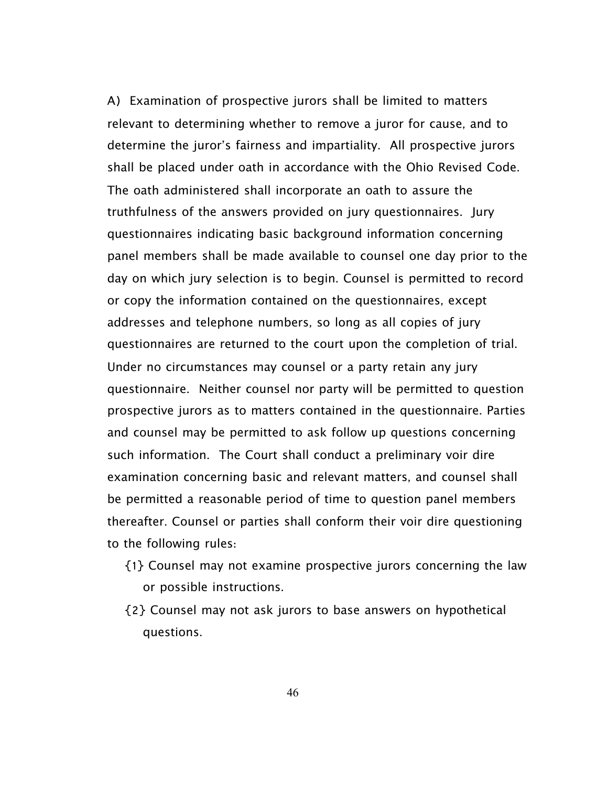A) Examination of prospective jurors shall be limited to matters relevant to determining whether to remove a juror for cause, and to determine the juror's fairness and impartiality. All prospective jurors shall be placed under oath in accordance with the Ohio Revised Code. The oath administered shall incorporate an oath to assure the truthfulness of the answers provided on jury questionnaires. Jury questionnaires indicating basic background information concerning panel members shall be made available to counsel one day prior to the day on which jury selection is to begin. Counsel is permitted to record or copy the information contained on the questionnaires, except addresses and telephone numbers, so long as all copies of jury questionnaires are returned to the court upon the completion of trial. Under no circumstances may counsel or a party retain any jury questionnaire. Neither counsel nor party will be permitted to question prospective jurors as to matters contained in the questionnaire. Parties and counsel may be permitted to ask follow up questions concerning such information. The Court shall conduct a preliminary voir dire examination concerning basic and relevant matters, and counsel shall be permitted a reasonable period of time to question panel members thereafter. Counsel or parties shall conform their voir dire questioning to the following rules:

- {1} Counsel may not examine prospective jurors concerning the law or possible instructions.
- {2} Counsel may not ask jurors to base answers on hypothetical questions.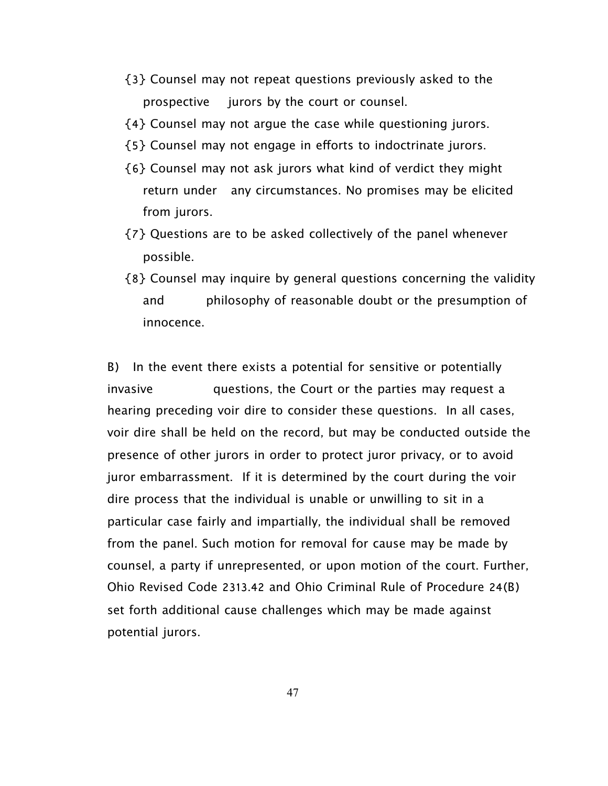- {3} Counsel may not repeat questions previously asked to the prospective jurors by the court or counsel.
- {4} Counsel may not argue the case while questioning jurors.
- ${5}$  Counsel may not engage in efforts to indoctrinate jurors.
- {6} Counsel may not ask jurors what kind of verdict they might return under any circumstances. No promises may be elicited from jurors.
- {7} Questions are to be asked collectively of the panel whenever possible.
- {8} Counsel may inquire by general questions concerning the validity and philosophy of reasonable doubt or the presumption of innocence.

B) In the event there exists a potential for sensitive or potentially invasive questions, the Court or the parties may request a hearing preceding voir dire to consider these questions. In all cases, voir dire shall be held on the record, but may be conducted outside the presence of other jurors in order to protect juror privacy, or to avoid juror embarrassment. If it is determined by the court during the voir dire process that the individual is unable or unwilling to sit in a particular case fairly and impartially, the individual shall be removed from the panel. Such motion for removal for cause may be made by counsel, a party if unrepresented, or upon motion of the court. Further, Ohio Revised Code 2313.42 and Ohio Criminal Rule of Procedure 24(B) set forth additional cause challenges which may be made against potential jurors.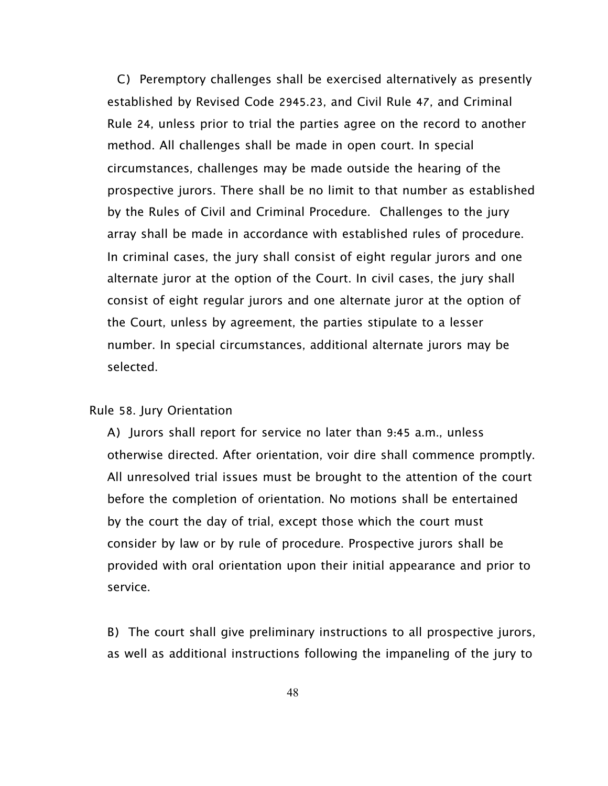C) Peremptory challenges shall be exercised alternatively as presently established by Revised Code 2945.23, and Civil Rule 47, and Criminal Rule 24, unless prior to trial the parties agree on the record to another method. All challenges shall be made in open court. In special circumstances, challenges may be made outside the hearing of the prospective jurors. There shall be no limit to that number as established by the Rules of Civil and Criminal Procedure. Challenges to the jury array shall be made in accordance with established rules of procedure. In criminal cases, the jury shall consist of eight regular jurors and one alternate juror at the option of the Court. In civil cases, the jury shall consist of eight regular jurors and one alternate juror at the option of the Court, unless by agreement, the parties stipulate to a lesser number. In special circumstances, additional alternate jurors may be selected.

## Rule 58. Jury Orientation

A) Jurors shall report for service no later than 9:45 a.m., unless otherwise directed. After orientation, voir dire shall commence promptly. All unresolved trial issues must be brought to the attention of the court before the completion of orientation. No motions shall be entertained by the court the day of trial, except those which the court must consider by law or by rule of procedure. Prospective jurors shall be provided with oral orientation upon their initial appearance and prior to service.

B) The court shall give preliminary instructions to all prospective jurors, as well as additional instructions following the impaneling of the jury to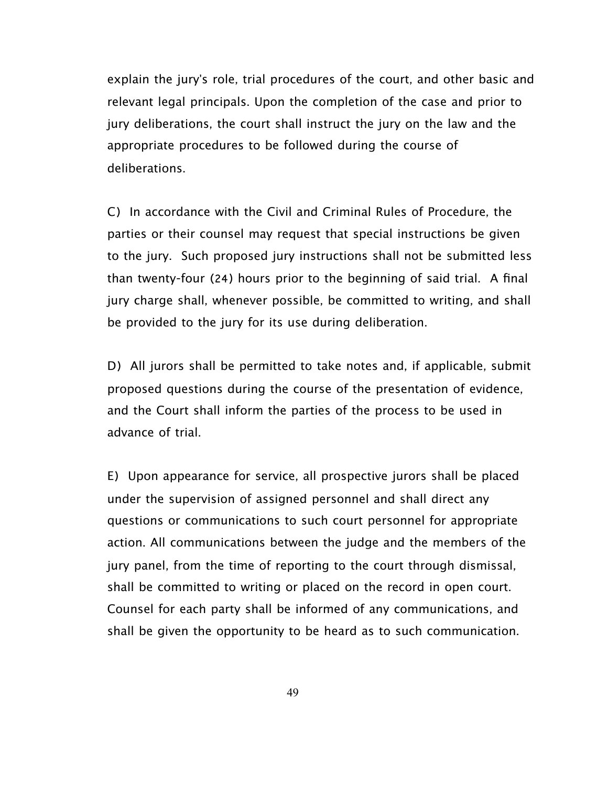explain the jury's role, trial procedures of the court, and other basic and relevant legal principals. Upon the completion of the case and prior to jury deliberations, the court shall instruct the jury on the law and the appropriate procedures to be followed during the course of deliberations.

C) In accordance with the Civil and Criminal Rules of Procedure, the parties or their counsel may request that special instructions be given to the jury. Such proposed jury instructions shall not be submitted less than twenty-four (24) hours prior to the beginning of said trial. A final jury charge shall, whenever possible, be committed to writing, and shall be provided to the jury for its use during deliberation.

D) All jurors shall be permitted to take notes and, if applicable, submit proposed questions during the course of the presentation of evidence, and the Court shall inform the parties of the process to be used in advance of trial.

E) Upon appearance for service, all prospective jurors shall be placed under the supervision of assigned personnel and shall direct any questions or communications to such court personnel for appropriate action. All communications between the judge and the members of the jury panel, from the time of reporting to the court through dismissal, shall be committed to writing or placed on the record in open court. Counsel for each party shall be informed of any communications, and shall be given the opportunity to be heard as to such communication.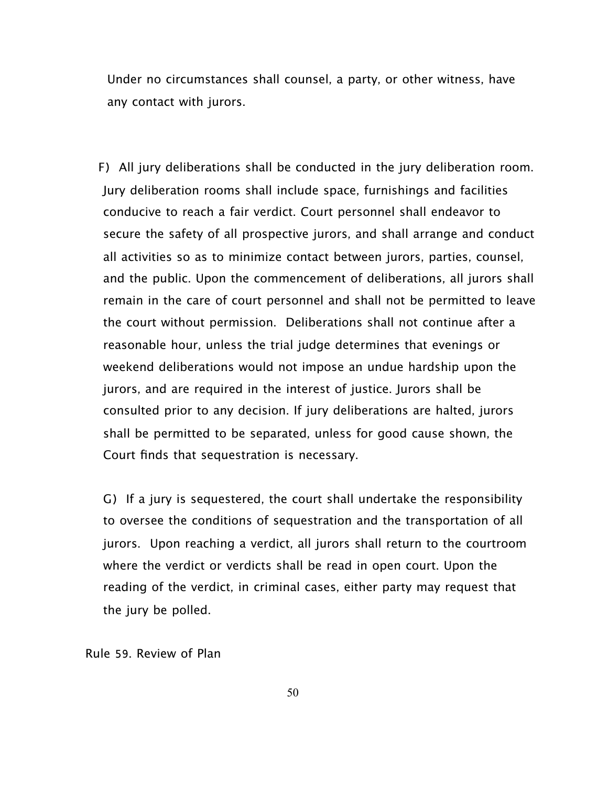Under no circumstances shall counsel, a party, or other witness, have any contact with jurors.

F) All jury deliberations shall be conducted in the jury deliberation room. Jury deliberation rooms shall include space, furnishings and facilities conducive to reach a fair verdict. Court personnel shall endeavor to secure the safety of all prospective jurors, and shall arrange and conduct all activities so as to minimize contact between jurors, parties, counsel, and the public. Upon the commencement of deliberations, all jurors shall remain in the care of court personnel and shall not be permitted to leave the court without permission. Deliberations shall not continue after a reasonable hour, unless the trial judge determines that evenings or weekend deliberations would not impose an undue hardship upon the jurors, and are required in the interest of justice. Jurors shall be consulted prior to any decision. If jury deliberations are halted, jurors shall be permitted to be separated, unless for good cause shown, the Court finds that sequestration is necessary.

G) If a jury is sequestered, the court shall undertake the responsibility to oversee the conditions of sequestration and the transportation of all jurors. Upon reaching a verdict, all jurors shall return to the courtroom where the verdict or verdicts shall be read in open court. Upon the reading of the verdict, in criminal cases, either party may request that the jury be polled.

Rule 59. Review of Plan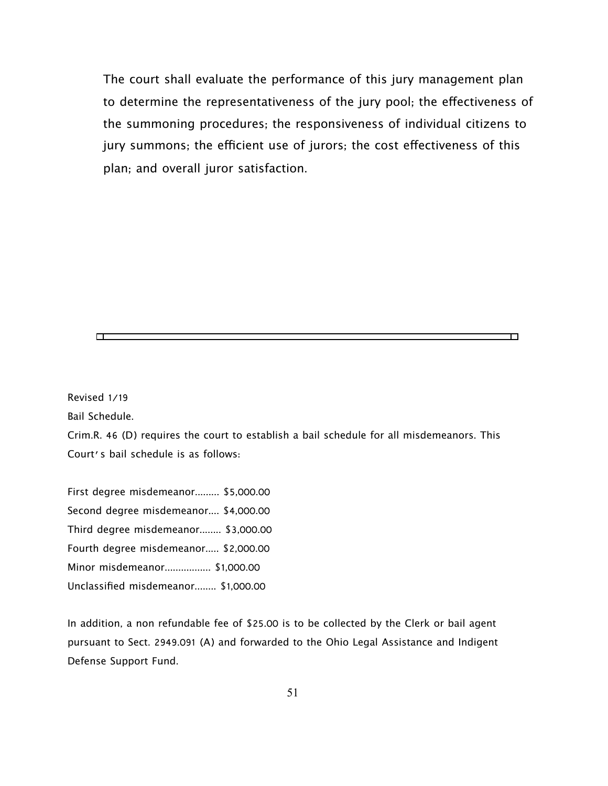The court shall evaluate the performance of this jury management plan to determine the representativeness of the jury pool; the efectiveness of the summoning procedures; the responsiveness of individual citizens to jury summons; the efficient use of jurors; the cost effectiveness of this plan; and overall juror satisfaction.

╖

Revised 1/19

 $\Box$ 

Bail Schedule.

Crim.R. 46 (D) requires the court to establish a bail schedule for all misdemeanors. This Court's bail schedule is as follows:

First degree misdemeanor......... \$5,000.00 Second degree misdemeanor.... \$4,000.00 Third degree misdemeanor........ \$3,000.00 Fourth degree misdemeanor..... \$2,000.00 Minor misdemeanor................. \$1,000.00 Unclassified misdemeanor........ \$1,000.00

In addition, a non refundable fee of \$25.00 is to be collected by the Clerk or bail agent pursuant to Sect. 2949.091 (A) and forwarded to the Ohio Legal Assistance and Indigent Defense Support Fund.